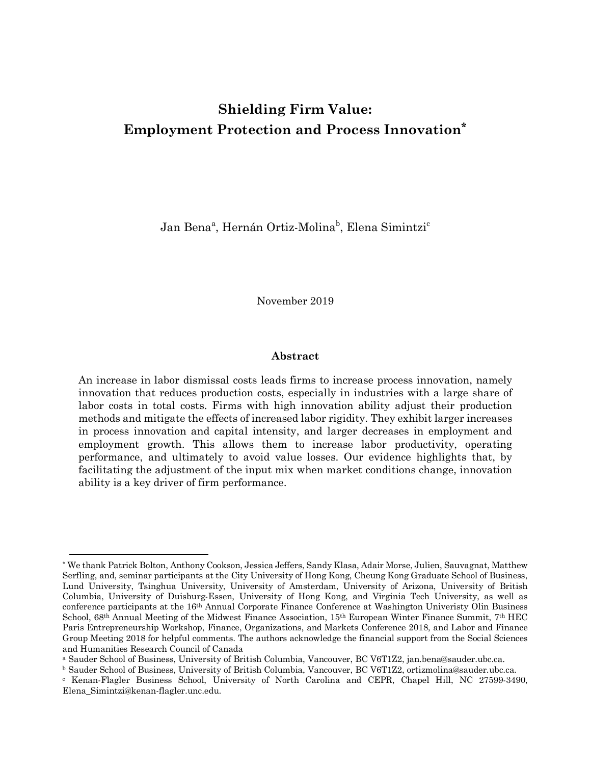# **Shielding Firm Value: Employment Protection and Process Innovation\***

Jan Benaª, Hernán Ortiz-Molina<sup>b</sup>, Elena Simintzi<sup>c</sup>

November 2019

# **Abstract**

An increase in labor dismissal costs leads firms to increase process innovation, namely innovation that reduces production costs, especially in industries with a large share of labor costs in total costs. Firms with high innovation ability adjust their production methods and mitigate the effects of increased labor rigidity. They exhibit larger increases in process innovation and capital intensity, and larger decreases in employment and employment growth. This allows them to increase labor productivity, operating performance, and ultimately to avoid value losses. Our evidence highlights that, by facilitating the adjustment of the input mix when market conditions change, innovation ability is a key driver of firm performance.

 $\overline{a}$ 

<sup>\*</sup> We thank Patrick Bolton, Anthony Cookson, Jessica Jeffers, Sandy Klasa, Adair Morse, Julien, Sauvagnat, Matthew Serfling, and, seminar participants at the City University of Hong Kong, Cheung Kong Graduate School of Business, Lund University, Tsinghua University, University of Amsterdam, University of Arizona, University of British Columbia, University of Duisburg-Essen, University of Hong Kong, and Virginia Tech University, as well as conference participants at the 16th Annual Corporate Finance Conference at Washington Univeristy Olin Business School, 68th Annual Meeting of the Midwest Finance Association, 15th European Winter Finance Summit, 7th HEC Paris Entrepreneurship Workshop, Finance, Organizations, and Markets Conference 2018, and Labor and Finance Group Meeting 2018 for helpful comments. The authors acknowledge the financial support from the Social Sciences and Humanities Research Council of Canada

<sup>a</sup> Sauder School of Business, University of British Columbia, Vancouver, BC V6T1Z2, jan.bena@sauder.ubc.ca.

<sup>b</sup> Sauder School of Business, University of British Columbia, Vancouver, BC V6T1Z2, ortizmolina@sauder.ubc.ca.

<sup>c</sup> Kenan-Flagler Business School, University of North Carolina and CEPR, Chapel Hill, NC 27599-3490, Elena\_Simintzi@kenan-flagler.unc.edu.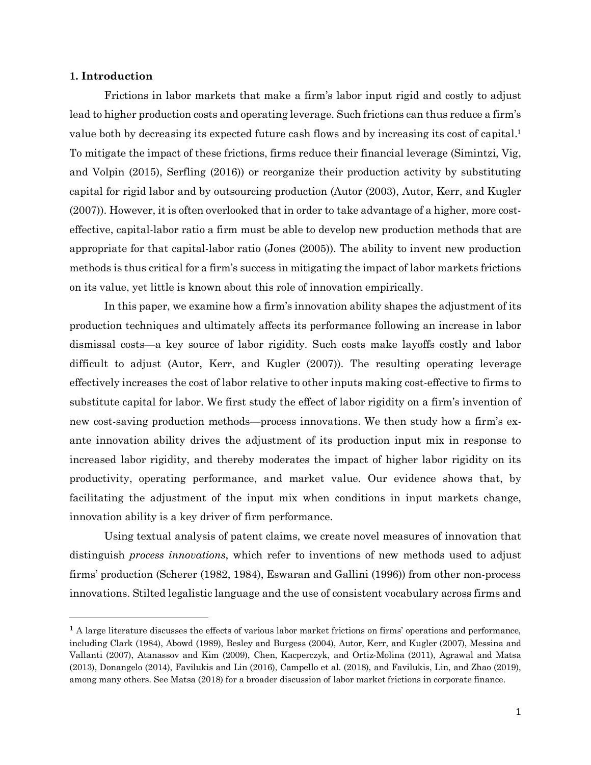## **1. Introduction**

l

Frictions in labor markets that make a firm's labor input rigid and costly to adjust lead to higher production costs and operating leverage. Such frictions can thus reduce a firm's value both by decreasing its expected future cash flows and by increasing its cost of capital.1 To mitigate the impact of these frictions, firms reduce their financial leverage (Simintzi, Vig, and Volpin (2015), Serfling (2016)) or reorganize their production activity by substituting capital for rigid labor and by outsourcing production (Autor (2003), Autor, Kerr, and Kugler (2007)). However, it is often overlooked that in order to take advantage of a higher, more costeffective, capital-labor ratio a firm must be able to develop new production methods that are appropriate for that capital-labor ratio (Jones (2005)). The ability to invent new production methods is thus critical for a firm's success in mitigating the impact of labor markets frictions on its value, yet little is known about this role of innovation empirically.

In this paper, we examine how a firm's innovation ability shapes the adjustment of its production techniques and ultimately affects its performance following an increase in labor dismissal costs—a key source of labor rigidity. Such costs make layoffs costly and labor difficult to adjust (Autor, Kerr, and Kugler (2007)). The resulting operating leverage effectively increases the cost of labor relative to other inputs making cost-effective to firms to substitute capital for labor. We first study the effect of labor rigidity on a firm's invention of new cost-saving production methods—process innovations. We then study how a firm's exante innovation ability drives the adjustment of its production input mix in response to increased labor rigidity, and thereby moderates the impact of higher labor rigidity on its productivity, operating performance, and market value. Our evidence shows that, by facilitating the adjustment of the input mix when conditions in input markets change, innovation ability is a key driver of firm performance.

Using textual analysis of patent claims, we create novel measures of innovation that distinguish *process innovations*, which refer to inventions of new methods used to adjust firms' production (Scherer (1982, 1984), Eswaran and Gallini (1996)) from other non-process innovations. Stilted legalistic language and the use of consistent vocabulary across firms and

**<sup>1</sup>** A large literature discusses the effects of various labor market frictions on firms' operations and performance, including Clark (1984), Abowd (1989), Besley and Burgess (2004), Autor, Kerr, and Kugler (2007), Messina and Vallanti (2007), Atanassov and Kim (2009), Chen, Kacperczyk, and Ortiz-Molina (2011), Agrawal and Matsa (2013), Donangelo (2014), Favilukis and Lin (2016), Campello et al. (2018), and Favilukis, Lin, and Zhao (2019), among many others. See Matsa (2018) for a broader discussion of labor market frictions in corporate finance.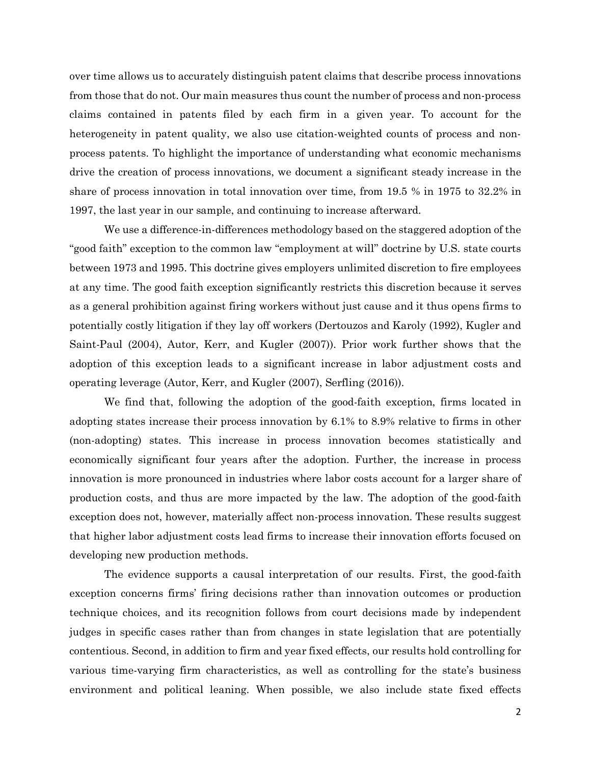over time allows us to accurately distinguish patent claims that describe process innovations from those that do not. Our main measures thus count the number of process and non-process claims contained in patents filed by each firm in a given year. To account for the heterogeneity in patent quality, we also use citation-weighted counts of process and nonprocess patents. To highlight the importance of understanding what economic mechanisms drive the creation of process innovations, we document a significant steady increase in the share of process innovation in total innovation over time, from 19.5 % in 1975 to 32.2% in 1997, the last year in our sample, and continuing to increase afterward.

We use a difference-in-differences methodology based on the staggered adoption of the "good faith" exception to the common law "employment at will" doctrine by U.S. state courts between 1973 and 1995. This doctrine gives employers unlimited discretion to fire employees at any time. The good faith exception significantly restricts this discretion because it serves as a general prohibition against firing workers without just cause and it thus opens firms to potentially costly litigation if they lay off workers (Dertouzos and Karoly (1992), Kugler and Saint-Paul (2004), Autor, Kerr, and Kugler (2007)). Prior work further shows that the adoption of this exception leads to a significant increase in labor adjustment costs and operating leverage (Autor, Kerr, and Kugler (2007), Serfling (2016)).

We find that, following the adoption of the good-faith exception, firms located in adopting states increase their process innovation by 6.1% to 8.9% relative to firms in other (non-adopting) states. This increase in process innovation becomes statistically and economically significant four years after the adoption. Further, the increase in process innovation is more pronounced in industries where labor costs account for a larger share of production costs, and thus are more impacted by the law. The adoption of the good-faith exception does not, however, materially affect non-process innovation. These results suggest that higher labor adjustment costs lead firms to increase their innovation efforts focused on developing new production methods.

The evidence supports a causal interpretation of our results. First, the good-faith exception concerns firms' firing decisions rather than innovation outcomes or production technique choices, and its recognition follows from court decisions made by independent judges in specific cases rather than from changes in state legislation that are potentially contentious. Second, in addition to firm and year fixed effects, our results hold controlling for various time-varying firm characteristics, as well as controlling for the state's business environment and political leaning. When possible, we also include state fixed effects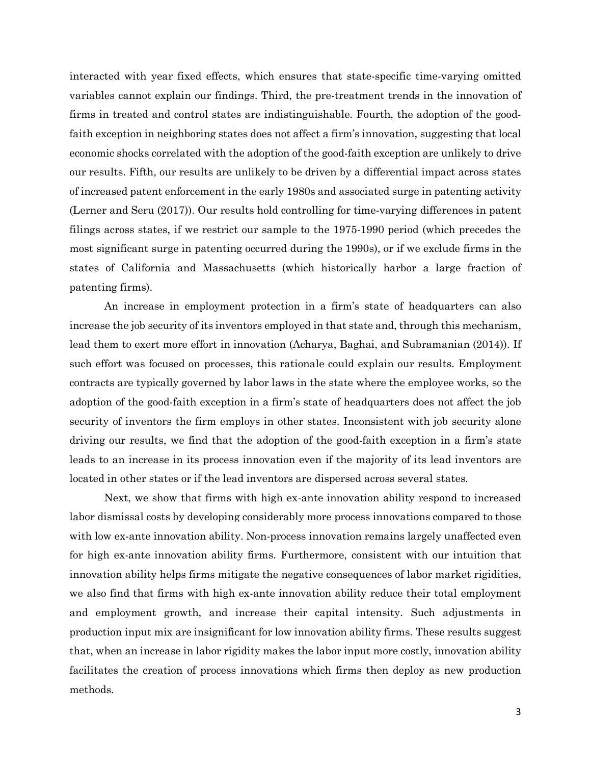interacted with year fixed effects, which ensures that state-specific time-varying omitted variables cannot explain our findings. Third, the pre-treatment trends in the innovation of firms in treated and control states are indistinguishable. Fourth, the adoption of the goodfaith exception in neighboring states does not affect a firm's innovation, suggesting that local economic shocks correlated with the adoption of the good-faith exception are unlikely to drive our results. Fifth, our results are unlikely to be driven by a differential impact across states of increased patent enforcement in the early 1980s and associated surge in patenting activity (Lerner and Seru (2017)). Our results hold controlling for time-varying differences in patent filings across states, if we restrict our sample to the 1975-1990 period (which precedes the most significant surge in patenting occurred during the 1990s), or if we exclude firms in the states of California and Massachusetts (which historically harbor a large fraction of patenting firms).

An increase in employment protection in a firm's state of headquarters can also increase the job security of its inventors employed in that state and, through this mechanism, lead them to exert more effort in innovation (Acharya, Baghai, and Subramanian (2014)). If such effort was focused on processes, this rationale could explain our results. Employment contracts are typically governed by labor laws in the state where the employee works, so the adoption of the good-faith exception in a firm's state of headquarters does not affect the job security of inventors the firm employs in other states. Inconsistent with job security alone driving our results, we find that the adoption of the good-faith exception in a firm's state leads to an increase in its process innovation even if the majority of its lead inventors are located in other states or if the lead inventors are dispersed across several states.

Next, we show that firms with high ex-ante innovation ability respond to increased labor dismissal costs by developing considerably more process innovations compared to those with low ex-ante innovation ability. Non-process innovation remains largely unaffected even for high ex-ante innovation ability firms. Furthermore, consistent with our intuition that innovation ability helps firms mitigate the negative consequences of labor market rigidities, we also find that firms with high ex-ante innovation ability reduce their total employment and employment growth, and increase their capital intensity. Such adjustments in production input mix are insignificant for low innovation ability firms. These results suggest that, when an increase in labor rigidity makes the labor input more costly, innovation ability facilitates the creation of process innovations which firms then deploy as new production methods.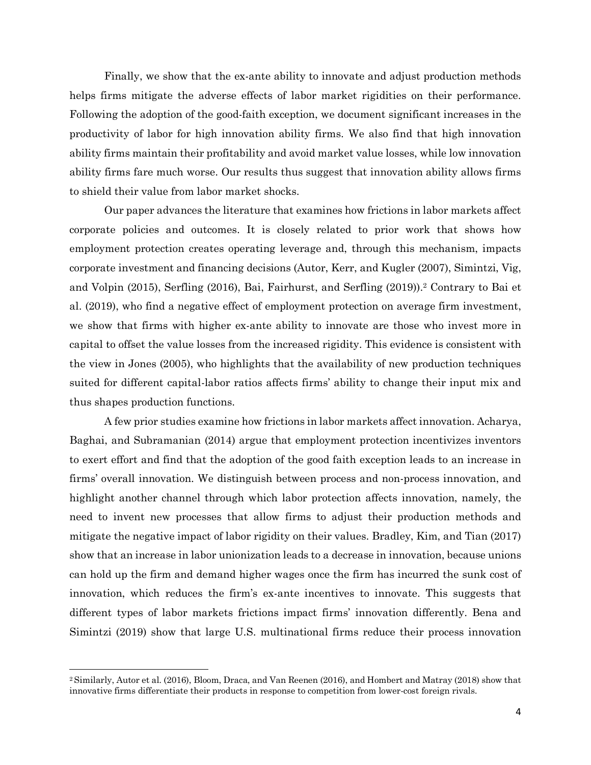Finally, we show that the ex-ante ability to innovate and adjust production methods helps firms mitigate the adverse effects of labor market rigidities on their performance. Following the adoption of the good-faith exception, we document significant increases in the productivity of labor for high innovation ability firms. We also find that high innovation ability firms maintain their profitability and avoid market value losses, while low innovation ability firms fare much worse. Our results thus suggest that innovation ability allows firms to shield their value from labor market shocks.

Our paper advances the literature that examines how frictions in labor markets affect corporate policies and outcomes. It is closely related to prior work that shows how employment protection creates operating leverage and, through this mechanism, impacts corporate investment and financing decisions (Autor, Kerr, and Kugler (2007), Simintzi, Vig, and Volpin (2015), Serfling (2016), Bai, Fairhurst, and Serfling (2019)).2 Contrary to Bai et al. (2019), who find a negative effect of employment protection on average firm investment, we show that firms with higher ex-ante ability to innovate are those who invest more in capital to offset the value losses from the increased rigidity. This evidence is consistent with the view in Jones (2005), who highlights that the availability of new production techniques suited for different capital-labor ratios affects firms' ability to change their input mix and thus shapes production functions.

A few prior studies examine how frictions in labor markets affect innovation. Acharya, Baghai, and Subramanian (2014) argue that employment protection incentivizes inventors to exert effort and find that the adoption of the good faith exception leads to an increase in firms' overall innovation. We distinguish between process and non-process innovation, and highlight another channel through which labor protection affects innovation, namely, the need to invent new processes that allow firms to adjust their production methods and mitigate the negative impact of labor rigidity on their values. Bradley, Kim, and Tian (2017) show that an increase in labor unionization leads to a decrease in innovation, because unions can hold up the firm and demand higher wages once the firm has incurred the sunk cost of innovation, which reduces the firm's ex-ante incentives to innovate. This suggests that different types of labor markets frictions impact firms' innovation differently. Bena and Simintzi (2019) show that large U.S. multinational firms reduce their process innovation

l

<sup>2</sup> Similarly, Autor et al. (2016), Bloom, Draca, and Van Reenen (2016), and Hombert and Matray (2018) show that innovative firms differentiate their products in response to competition from lower-cost foreign rivals.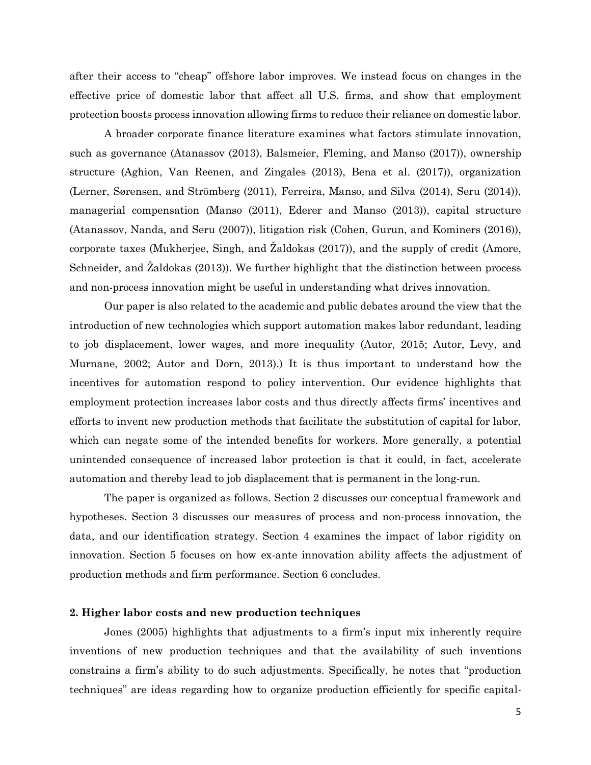after their access to "cheap" offshore labor improves. We instead focus on changes in the effective price of domestic labor that affect all U.S. firms, and show that employment protection boosts process innovation allowing firms to reduce their reliance on domestic labor.

A broader corporate finance literature examines what factors stimulate innovation, such as governance (Atanassov (2013), Balsmeier, Fleming, and Manso (2017)), ownership structure (Aghion, Van Reenen, and Zingales (2013), Bena et al. (2017)), organization (Lerner, Sørensen, and Strömberg (2011), Ferreira, Manso, and Silva (2014), Seru (2014)), managerial compensation (Manso (2011), Ederer and Manso (2013)), capital structure (Atanassov, Nanda, and Seru (2007)), litigation risk (Cohen, Gurun, and Kominers (2016)), corporate taxes (Mukherjee, Singh, and Žaldokas (2017)), and the supply of credit (Amore, Schneider, and Žaldokas (2013)). We further highlight that the distinction between process and non-process innovation might be useful in understanding what drives innovation.

Our paper is also related to the academic and public debates around the view that the introduction of new technologies which support automation makes labor redundant, leading to job displacement, lower wages, and more inequality (Autor, 2015; Autor, Levy, and Murnane, 2002; Autor and Dorn, 2013).) It is thus important to understand how the incentives for automation respond to policy intervention. Our evidence highlights that employment protection increases labor costs and thus directly affects firms' incentives and efforts to invent new production methods that facilitate the substitution of capital for labor, which can negate some of the intended benefits for workers. More generally, a potential unintended consequence of increased labor protection is that it could, in fact, accelerate automation and thereby lead to job displacement that is permanent in the long-run.

The paper is organized as follows. Section 2 discusses our conceptual framework and hypotheses. Section 3 discusses our measures of process and non-process innovation, the data, and our identification strategy. Section 4 examines the impact of labor rigidity on innovation. Section 5 focuses on how ex-ante innovation ability affects the adjustment of production methods and firm performance. Section 6 concludes.

# **2. Higher labor costs and new production techniques**

Jones (2005) highlights that adjustments to a firm's input mix inherently require inventions of new production techniques and that the availability of such inventions constrains a firm's ability to do such adjustments. Specifically, he notes that "production techniques" are ideas regarding how to organize production efficiently for specific capital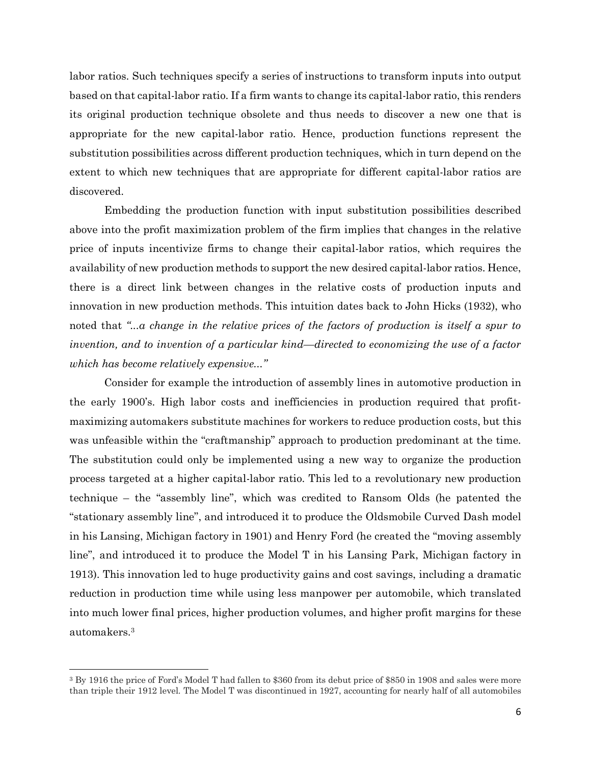labor ratios. Such techniques specify a series of instructions to transform inputs into output based on that capital-labor ratio. If a firm wants to change its capital-labor ratio, this renders its original production technique obsolete and thus needs to discover a new one that is appropriate for the new capital-labor ratio. Hence, production functions represent the substitution possibilities across different production techniques, which in turn depend on the extent to which new techniques that are appropriate for different capital-labor ratios are discovered.

Embedding the production function with input substitution possibilities described above into the profit maximization problem of the firm implies that changes in the relative price of inputs incentivize firms to change their capital-labor ratios, which requires the availability of new production methods to support the new desired capital-labor ratios. Hence, there is a direct link between changes in the relative costs of production inputs and innovation in new production methods. This intuition dates back to John Hicks (1932), who noted that *"...a change in the relative prices of the factors of production is itself a spur to invention, and to invention of a particular kind—directed to economizing the use of a factor which has become relatively expensive..."*

Consider for example the introduction of assembly lines in automotive production in the early 1900's. High labor costs and inefficiencies in production required that profitmaximizing automakers substitute machines for workers to reduce production costs, but this was unfeasible within the "craftmanship" approach to production predominant at the time. The substitution could only be implemented using a new way to organize the production process targeted at a higher capital-labor ratio. This led to a revolutionary new production technique – the "assembly line", which was credited to Ransom Olds (he patented the "stationary assembly line", and introduced it to produce the Oldsmobile Curved Dash model in his Lansing, Michigan factory in 1901) and Henry Ford (he created the "moving assembly line", and introduced it to produce the Model T in his Lansing Park, Michigan factory in 1913). This innovation led to huge productivity gains and cost savings, including a dramatic reduction in production time while using less manpower per automobile, which translated into much lower final prices, higher production volumes, and higher profit margins for these automakers.3

l

<sup>3</sup> By 1916 the price of Ford's Model T had fallen to \$360 from its debut price of \$850 in 1908 and sales were more than triple their 1912 level. The Model T was discontinued in 1927, accounting for nearly half of all automobiles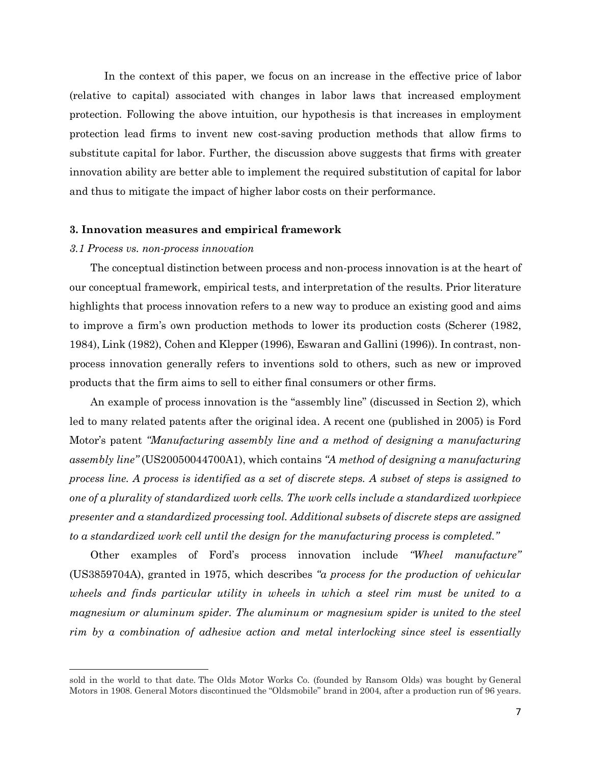In the context of this paper, we focus on an increase in the effective price of labor (relative to capital) associated with changes in labor laws that increased employment protection. Following the above intuition, our hypothesis is that increases in employment protection lead firms to invent new cost-saving production methods that allow firms to substitute capital for labor. Further, the discussion above suggests that firms with greater innovation ability are better able to implement the required substitution of capital for labor and thus to mitigate the impact of higher labor costs on their performance.

### **3. Innovation measures and empirical framework**

### *3.1 Process vs. non-process innovation*

l

The conceptual distinction between process and non-process innovation is at the heart of our conceptual framework, empirical tests, and interpretation of the results. Prior literature highlights that process innovation refers to a new way to produce an existing good and aims to improve a firm's own production methods to lower its production costs (Scherer (1982, 1984), Link (1982), Cohen and Klepper (1996), Eswaran and Gallini (1996)). In contrast, nonprocess innovation generally refers to inventions sold to others, such as new or improved products that the firm aims to sell to either final consumers or other firms.

An example of process innovation is the "assembly line" (discussed in Section 2), which led to many related patents after the original idea. A recent one (published in 2005) is Ford Motor's patent *"Manufacturing assembly line and a method of designing a manufacturing assembly line"* (US20050044700A1), which contains *"A method of designing a manufacturing process line. A process is identified as a set of discrete steps. A subset of steps is assigned to one of a plurality of standardized work cells. The work cells include a standardized workpiece presenter and a standardized processing tool. Additional subsets of discrete steps are assigned to a standardized work cell until the design for the manufacturing process is completed."*

Other examples of Ford's process innovation include *"Wheel manufacture"* (US3859704A), granted in 1975, which describes *"a process for the production of vehicular wheels and finds particular utility in wheels in which a steel rim must be united to a magnesium or aluminum spider. The aluminum or magnesium spider is united to the steel rim by a combination of adhesive action and metal interlocking since steel is essentially* 

sold in the world to that date. The Olds Motor Works Co. (founded by Ransom Olds) was bought by General Motors in 1908. General Motors discontinued the "Oldsmobile" brand in 2004, after a production run of 96 years.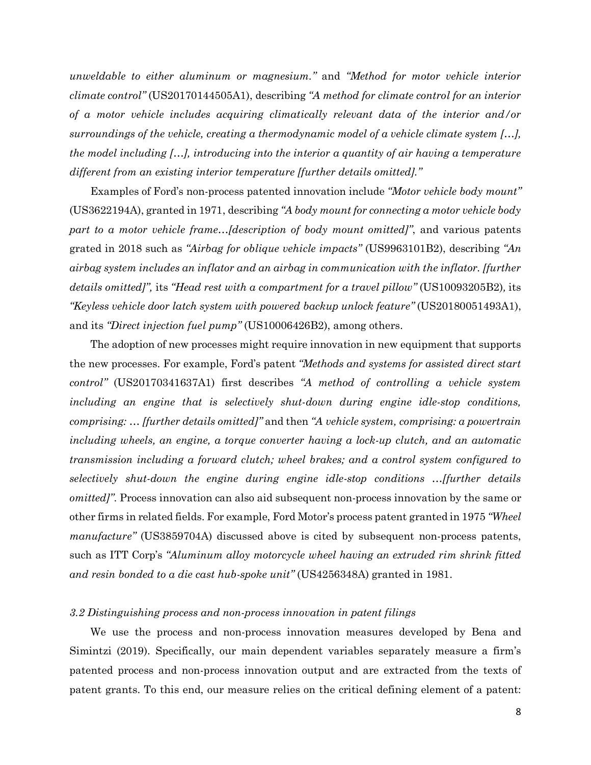*unweldable to either aluminum or magnesium."* and *"Method for motor vehicle interior climate control"* (US20170144505A1), describing *"A method for climate control for an interior of a motor vehicle includes acquiring climatically relevant data of the interior and/or surroundings of the vehicle, creating a thermodynamic model of a vehicle climate system […], the model including […], introducing into the interior a quantity of air having a temperature different from an existing interior temperature [further details omitted]."*

Examples of Ford's non-process patented innovation include *"Motor vehicle body mount"* (US3622194A), granted in 1971, describing *"A body mount for connecting a motor vehicle body part to a motor vehicle frame…[description of body mount omitted]"*, and various patents grated in 2018 such as *"Airbag for oblique vehicle impacts"* (US9963101B2), describing *"An airbag system includes an inflator and an airbag in communication with the inflator. [further details omitted]",* its *"Head rest with a compartment for a travel pillow"* (US10093205B2)*,* its *"Keyless vehicle door latch system with powered backup unlock feature"* (US20180051493A1), and its *"Direct injection fuel pump"* (US10006426B2), among others.

The adoption of new processes might require innovation in new equipment that supports the new processes. For example, Ford's patent *"Methods and systems for assisted direct start control"* (US20170341637A1) first describes *"A method of controlling a vehicle system including an engine that is selectively shut-down during engine idle-stop conditions, comprising: … [further details omitted]"* and then *"A vehicle system, comprising: a powertrain including wheels, an engine, a torque converter having a lock-up clutch, and an automatic transmission including a forward clutch; wheel brakes; and a control system configured to selectively shut-down the engine during engine idle-stop conditions …[further details omitted]"*. Process innovation can also aid subsequent non-process innovation by the same or other firms in related fields. For example, Ford Motor's process patent granted in 1975 *"Wheel manufacture"* (US3859704A) discussed above is cited by subsequent non-process patents, such as ITT Corp's *"Aluminum alloy motorcycle wheel having an extruded rim shrink fitted and resin bonded to a die cast hub-spoke unit"* (US4256348A) granted in 1981.

### *3.2 Distinguishing process and non-process innovation in patent filings*

We use the process and non-process innovation measures developed by Bena and Simintzi (2019). Specifically, our main dependent variables separately measure a firm's patented process and non-process innovation output and are extracted from the texts of patent grants. To this end, our measure relies on the critical defining element of a patent: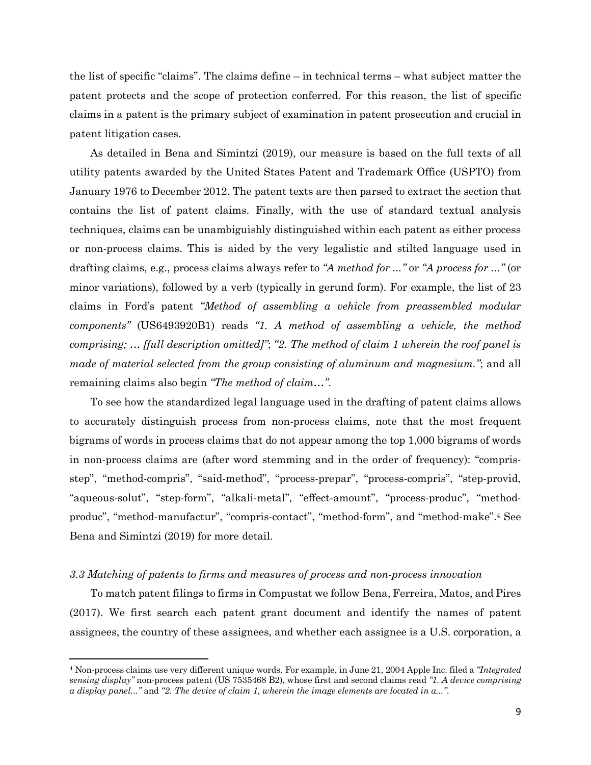the list of specific "claims". The claims define – in technical terms – what subject matter the patent protects and the scope of protection conferred. For this reason, the list of specific claims in a patent is the primary subject of examination in patent prosecution and crucial in patent litigation cases.

As detailed in Bena and Simintzi (2019), our measure is based on the full texts of all utility patents awarded by the United States Patent and Trademark Office (USPTO) from January 1976 to December 2012. The patent texts are then parsed to extract the section that contains the list of patent claims. Finally, with the use of standard textual analysis techniques, claims can be unambiguishly distinguished within each patent as either process or non-process claims. This is aided by the very legalistic and stilted language used in drafting claims, e.g., process claims always refer to *"A method for ..."* or *"A process for ..."* (or minor variations), followed by a verb (typically in gerund form). For example, the list of 23 claims in Ford's patent *"Method of assembling a vehicle from preassembled modular components"* (US6493920B1) reads *"1. A method of assembling a vehicle, the method comprising; … [full description omitted]"*; *"2. The method of claim 1 wherein the roof panel is made of material selected from the group consisting of aluminum and magnesium."*; and all remaining claims also begin *"The method of claim…"*.

To see how the standardized legal language used in the drafting of patent claims allows to accurately distinguish process from non-process claims, note that the most frequent bigrams of words in process claims that do not appear among the top 1,000 bigrams of words in non-process claims are (after word stemming and in the order of frequency): "comprisstep", "method-compris", "said-method", "process-prepar", "process-compris", "step-provid, "aqueous-solut", "step-form", "alkali-metal", "effect-amount", "process-produc", "methodproduc", "method-manufactur", "compris-contact", "method-form", and "method-make". <sup>4</sup> See Bena and Simintzi (2019) for more detail.

### *3.3 Matching of patents to firms and measures of process and non-process innovation*

l

To match patent filings to firms in Compustat we follow Bena, Ferreira, Matos, and Pires (2017). We first search each patent grant document and identify the names of patent assignees, the country of these assignees, and whether each assignee is a U.S. corporation, a

<sup>4</sup> Non-process claims use very different unique words. For example, in June 21, 2004 Apple Inc. filed a *"Integrated sensing display"* non-process patent (US 7535468 B2), whose first and second claims read *"1. A device comprising a display panel..."* and *"2. The device of claim 1, wherein the image elements are located in a..."*.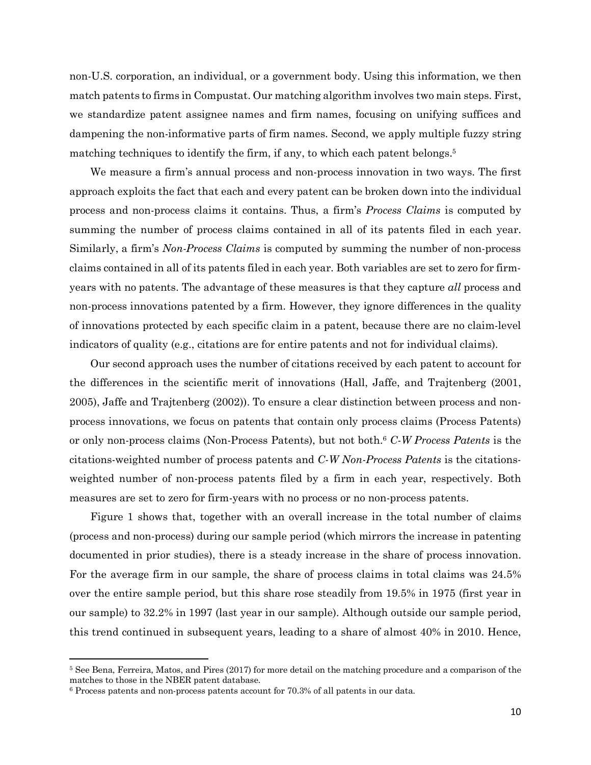non-U.S. corporation, an individual, or a government body. Using this information, we then match patents to firms in Compustat. Our matching algorithm involves two main steps. First, we standardize patent assignee names and firm names, focusing on unifying suffices and dampening the non-informative parts of firm names. Second, we apply multiple fuzzy string matching techniques to identify the firm, if any, to which each patent belongs. 5

We measure a firm's annual process and non-process innovation in two ways. The first approach exploits the fact that each and every patent can be broken down into the individual process and non-process claims it contains. Thus, a firm's *Process Claims* is computed by summing the number of process claims contained in all of its patents filed in each year. Similarly, a firm's *Non-Process Claims* is computed by summing the number of non-process claims contained in all of its patents filed in each year. Both variables are set to zero for firmyears with no patents. The advantage of these measures is that they capture *all* process and non-process innovations patented by a firm. However, they ignore differences in the quality of innovations protected by each specific claim in a patent, because there are no claim-level indicators of quality (e.g., citations are for entire patents and not for individual claims).

Our second approach uses the number of citations received by each patent to account for the differences in the scientific merit of innovations (Hall, Jaffe, and Trajtenberg (2001, 2005), Jaffe and Trajtenberg (2002)). To ensure a clear distinction between process and nonprocess innovations, we focus on patents that contain only process claims (Process Patents) or only non-process claims (Non-Process Patents), but not both.6 *C-W Process Patents* is the citations-weighted number of process patents and *C-W Non-Process Patents* is the citationsweighted number of non-process patents filed by a firm in each year, respectively. Both measures are set to zero for firm-years with no process or no non-process patents.

Figure 1 shows that, together with an overall increase in the total number of claims (process and non-process) during our sample period (which mirrors the increase in patenting documented in prior studies), there is a steady increase in the share of process innovation. For the average firm in our sample, the share of process claims in total claims was 24.5% over the entire sample period, but this share rose steadily from 19.5% in 1975 (first year in our sample) to 32.2% in 1997 (last year in our sample). Although outside our sample period, this trend continued in subsequent years, leading to a share of almost 40% in 2010. Hence,

l

<sup>5</sup> See Bena, Ferreira, Matos, and Pires (2017) for more detail on the matching procedure and a comparison of the matches to those in the NBER patent database.

<sup>6</sup> Process patents and non-process patents account for 70.3% of all patents in our data.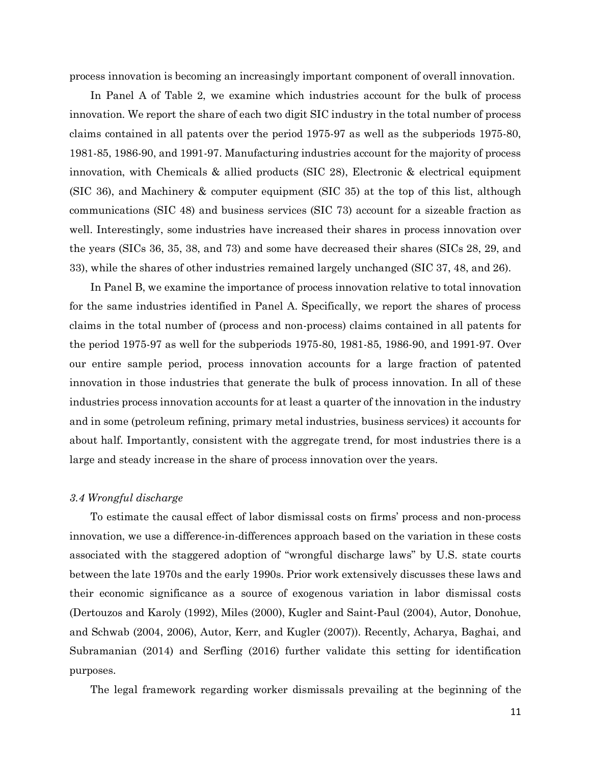process innovation is becoming an increasingly important component of overall innovation.

In Panel A of Table 2, we examine which industries account for the bulk of process innovation. We report the share of each two digit SIC industry in the total number of process claims contained in all patents over the period 1975-97 as well as the subperiods 1975-80, 1981-85, 1986-90, and 1991-97. Manufacturing industries account for the majority of process innovation, with Chemicals & allied products (SIC 28), Electronic & electrical equipment (SIC 36), and Machinery & computer equipment (SIC 35) at the top of this list, although communications (SIC 48) and business services (SIC 73) account for a sizeable fraction as well. Interestingly, some industries have increased their shares in process innovation over the years (SICs 36, 35, 38, and 73) and some have decreased their shares (SICs 28, 29, and 33), while the shares of other industries remained largely unchanged (SIC 37, 48, and 26).

In Panel B, we examine the importance of process innovation relative to total innovation for the same industries identified in Panel A. Specifically, we report the shares of process claims in the total number of (process and non-process) claims contained in all patents for the period 1975-97 as well for the subperiods 1975-80, 1981-85, 1986-90, and 1991-97. Over our entire sample period, process innovation accounts for a large fraction of patented innovation in those industries that generate the bulk of process innovation. In all of these industries process innovation accounts for at least a quarter of the innovation in the industry and in some (petroleum refining, primary metal industries, business services) it accounts for about half. Importantly, consistent with the aggregate trend, for most industries there is a large and steady increase in the share of process innovation over the years.

### *3.4 Wrongful discharge*

To estimate the causal effect of labor dismissal costs on firms' process and non-process innovation, we use a difference-in-differences approach based on the variation in these costs associated with the staggered adoption of "wrongful discharge laws" by U.S. state courts between the late 1970s and the early 1990s. Prior work extensively discusses these laws and their economic significance as a source of exogenous variation in labor dismissal costs (Dertouzos and Karoly (1992), Miles (2000), Kugler and Saint-Paul (2004), Autor, Donohue, and Schwab (2004, 2006), Autor, Kerr, and Kugler (2007)). Recently, Acharya, Baghai, and Subramanian (2014) and Serfling (2016) further validate this setting for identification purposes.

The legal framework regarding worker dismissals prevailing at the beginning of the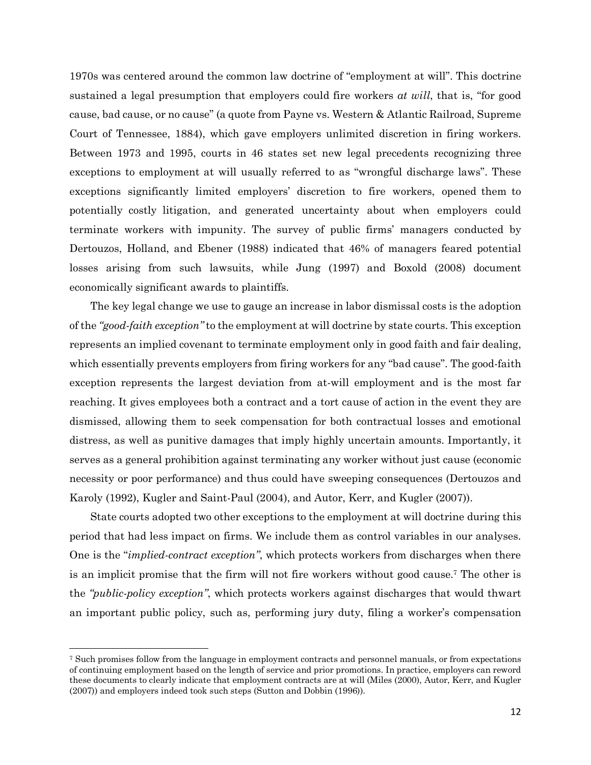1970s was centered around the common law doctrine of "employment at will". This doctrine sustained a legal presumption that employers could fire workers *at will*, that is, "for good cause, bad cause, or no cause" (a quote from Payne vs. Western & Atlantic Railroad, Supreme Court of Tennessee, 1884), which gave employers unlimited discretion in firing workers. Between 1973 and 1995, courts in 46 states set new legal precedents recognizing three exceptions to employment at will usually referred to as "wrongful discharge laws". These exceptions significantly limited employers' discretion to fire workers, opened them to potentially costly litigation, and generated uncertainty about when employers could terminate workers with impunity. The survey of public firms' managers conducted by Dertouzos, Holland, and Ebener (1988) indicated that 46% of managers feared potential losses arising from such lawsuits, while Jung (1997) and Boxold (2008) document economically significant awards to plaintiffs.

The key legal change we use to gauge an increase in labor dismissal costs is the adoption of the *"good-faith exception"* to the employment at will doctrine by state courts. This exception represents an implied covenant to terminate employment only in good faith and fair dealing, which essentially prevents employers from firing workers for any "bad cause". The good-faith exception represents the largest deviation from at-will employment and is the most far reaching. It gives employees both a contract and a tort cause of action in the event they are dismissed, allowing them to seek compensation for both contractual losses and emotional distress, as well as punitive damages that imply highly uncertain amounts. Importantly, it serves as a general prohibition against terminating any worker without just cause (economic necessity or poor performance) and thus could have sweeping consequences (Dertouzos and Karoly (1992), Kugler and Saint-Paul (2004), and Autor, Kerr, and Kugler (2007)).

State courts adopted two other exceptions to the employment at will doctrine during this period that had less impact on firms. We include them as control variables in our analyses. One is the "*implied-contract exception"*, which protects workers from discharges when there is an implicit promise that the firm will not fire workers without good cause.7 The other is the *"public-policy exception"*, which protects workers against discharges that would thwart an important public policy, such as, performing jury duty, filing a worker's compensation

 $\overline{\phantom{a}}$ 

<sup>7</sup> Such promises follow from the language in employment contracts and personnel manuals, or from expectations of continuing employment based on the length of service and prior promotions. In practice, employers can reword these documents to clearly indicate that employment contracts are at will (Miles (2000), Autor, Kerr, and Kugler (2007)) and employers indeed took such steps (Sutton and Dobbin (1996)).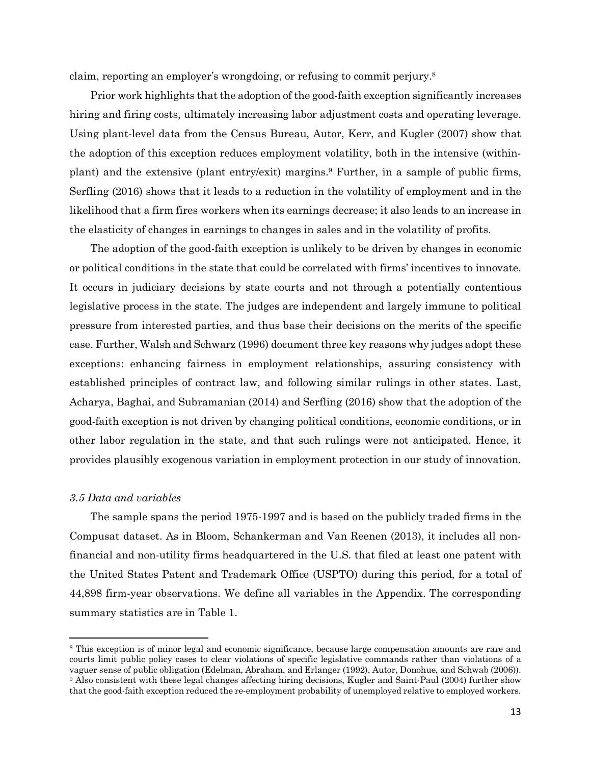claim, reporting an employer's wrongdoing, or refusing to commit perjury.8

Prior work highlights that the adoption of the good-faith exception significantly increases hiring and firing costs, ultimately increasing labor adjustment costs and operating leverage. Using plant-level data from the Census Bureau, Autor, Kerr, and Kugler (2007) show that the adoption of this exception reduces employment volatility, both in the intensive (withinplant) and the extensive (plant entry/exit) margins.9 Further, in a sample of public firms, Serfling (2016) shows that it leads to a reduction in the volatility of employment and in the likelihood that a firm fires workers when its earnings decrease; it also leads to an increase in the elasticity of changes in earnings to changes in sales and in the volatility of profits.

The adoption of the good-faith exception is unlikely to be driven by changes in economic or political conditions in the state that could be correlated with firms' incentives to innovate. It occurs in judiciary decisions by state courts and not through a potentially contentious legislative process in the state. The judges are independent and largely immune to political pressure from interested parties, and thus base their decisions on the merits of the specific case. Further, Walsh and Schwarz (1996) document three key reasons why judges adopt these exceptions: enhancing fairness in employment relationships, assuring consistency with established principles of contract law, and following similar rulings in other states. Last, Acharya, Baghai, and Subramanian (2014) and Serfling (2016) show that the adoption of the good-faith exception is not driven by changing political conditions, economic conditions, or in other labor regulation in the state, and that such rulings were not anticipated. Hence, it provides plausibly exogenous variation in employment protection in our study of innovation.

### *3.5 Data and variables*

 $\overline{a}$ 

The sample spans the period 1975-1997 and is based on the publicly traded firms in the Compusat dataset. As in Bloom, Schankerman and Van Reenen (2013), it includes all nonfinancial and non-utility firms headquartered in the U.S. that filed at least one patent with the United States Patent and Trademark Office (USPTO) during this period, for a total of 44,898 firm-year observations. We define all variables in the Appendix. The corresponding summary statistics are in Table 1.

<sup>8</sup> This exception is of minor legal and economic significance, because large compensation amounts are rare and courts limit public policy cases to clear violations of specific legislative commands rather than violations of a vaguer sense of public obligation (Edelman, Abraham, and Erlanger (1992), Autor, Donohue, and Schwab (2006)). <sup>9</sup> Also consistent with these legal changes affecting hiring decisions, Kugler and Saint-Paul (2004) further show that the good-faith exception reduced the re-employment probability of unemployed relative to employed workers.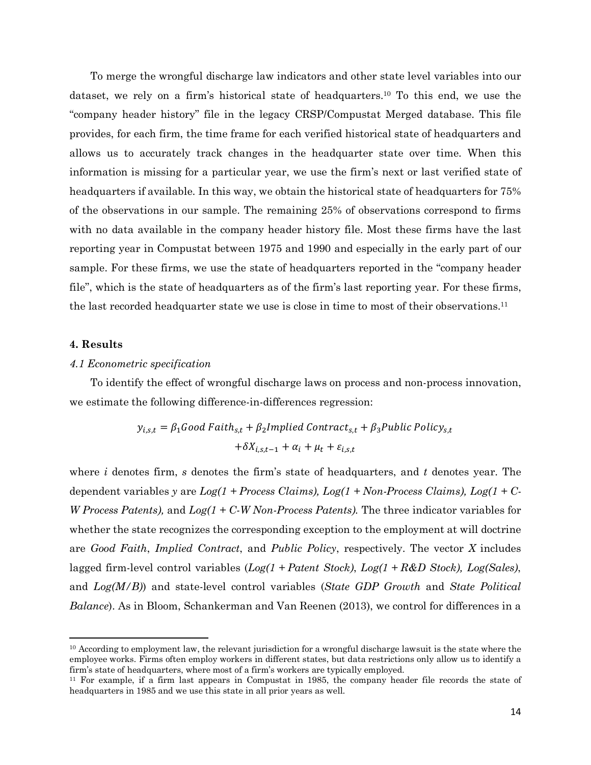To merge the wrongful discharge law indicators and other state level variables into our dataset, we rely on a firm's historical state of headquarters.10 To this end, we use the "company header history" file in the legacy CRSP/Compustat Merged database. This file provides, for each firm, the time frame for each verified historical state of headquarters and allows us to accurately track changes in the headquarter state over time. When this information is missing for a particular year, we use the firm's next or last verified state of headquarters if available. In this way, we obtain the historical state of headquarters for 75% of the observations in our sample. The remaining 25% of observations correspond to firms with no data available in the company header history file. Most these firms have the last reporting year in Compustat between 1975 and 1990 and especially in the early part of our sample. For these firms, we use the state of headquarters reported in the "company header file", which is the state of headquarters as of the firm's last reporting year. For these firms, the last recorded headquarter state we use is close in time to most of their observations.11

# **4. Results**

 $\overline{a}$ 

## *4.1 Econometric specification*

To identify the effect of wrongful discharge laws on process and non-process innovation, we estimate the following difference-in-differences regression:

$$
y_{i,s,t} = \beta_1 \text{Good Faith}_{s,t} + \beta_2 \text{Implicit Control}
$$

$$
+ \delta X_{i,s,t-1} + \alpha_i + \mu_t + \varepsilon_{i,s,t}
$$

where *i* denotes firm, *s* denotes the firm's state of headquarters, and *t* denotes year. The dependent variables *y* are *Log(1 + Process Claims), Log(1 + Non-Process Claims), Log(1 + C-W Process Patents),* and *Log(1 + C-W Non-Process Patents).* The three indicator variables for whether the state recognizes the corresponding exception to the employment at will doctrine are *Good Faith*, *Implied Contract*, and *Public Policy*, respectively. The vector *X* includes lagged firm-level control variables (*Log(1 + Patent Stock)*, *Log(1 + R&D Stock), Log(Sales)*, and *Log(M/B)*) and state-level control variables (*State GDP Growth* and *State Political Balance*). As in Bloom, Schankerman and Van Reenen (2013), we control for differences in a

<sup>&</sup>lt;sup>10</sup> According to employment law, the relevant jurisdiction for a wrongful discharge lawsuit is the state where the employee works. Firms often employ workers in different states, but data restrictions only allow us to identify a firm's state of headquarters, where most of a firm's workers are typically employed.

<sup>11</sup> For example, if a firm last appears in Compustat in 1985, the company header file records the state of headquarters in 1985 and we use this state in all prior years as well.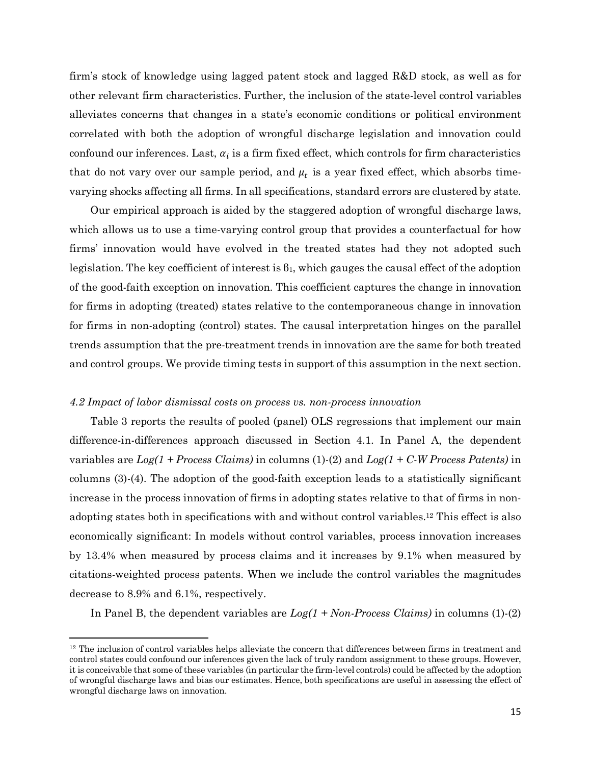firm's stock of knowledge using lagged patent stock and lagged R&D stock, as well as for other relevant firm characteristics. Further, the inclusion of the state-level control variables alleviates concerns that changes in a state's economic conditions or political environment correlated with both the adoption of wrongful discharge legislation and innovation could confound our inferences. Last,  $\alpha_i$  is a firm fixed effect, which controls for firm characteristics that do not vary over our sample period, and  $\mu_t$  is a year fixed effect, which absorbs timevarying shocks affecting all firms. In all specifications, standard errors are clustered by state.

Our empirical approach is aided by the staggered adoption of wrongful discharge laws, which allows us to use a time-varying control group that provides a counterfactual for how firms' innovation would have evolved in the treated states had they not adopted such legislation. The key coefficient of interest is  $\beta_1$ , which gauges the causal effect of the adoption of the good-faith exception on innovation. This coefficient captures the change in innovation for firms in adopting (treated) states relative to the contemporaneous change in innovation for firms in non-adopting (control) states. The causal interpretation hinges on the parallel trends assumption that the pre-treatment trends in innovation are the same for both treated and control groups. We provide timing tests in support of this assumption in the next section.

#### *4.2 Impact of labor dismissal costs on process vs. non-process innovation*

 $\overline{a}$ 

Table 3 reports the results of pooled (panel) OLS regressions that implement our main difference-in-differences approach discussed in Section 4.1. In Panel A, the dependent variables are *Log(1 + Process Claims)* in columns (1)-(2) and *Log(1 + C-W Process Patents)* in columns (3)-(4). The adoption of the good-faith exception leads to a statistically significant increase in the process innovation of firms in adopting states relative to that of firms in nonadopting states both in specifications with and without control variables. <sup>12</sup> This effect is also economically significant: In models without control variables, process innovation increases by 13.4% when measured by process claims and it increases by 9.1% when measured by citations-weighted process patents. When we include the control variables the magnitudes decrease to 8.9% and 6.1%, respectively.

In Panel B, the dependent variables are *Log(1 + Non-Process Claims)* in columns (1)-(2)

<sup>&</sup>lt;sup>12</sup> The inclusion of control variables helps alleviate the concern that differences between firms in treatment and control states could confound our inferences given the lack of truly random assignment to these groups. However, it is conceivable that some of these variables (in particular the firm-level controls) could be affected by the adoption of wrongful discharge laws and bias our estimates. Hence, both specifications are useful in assessing the effect of wrongful discharge laws on innovation.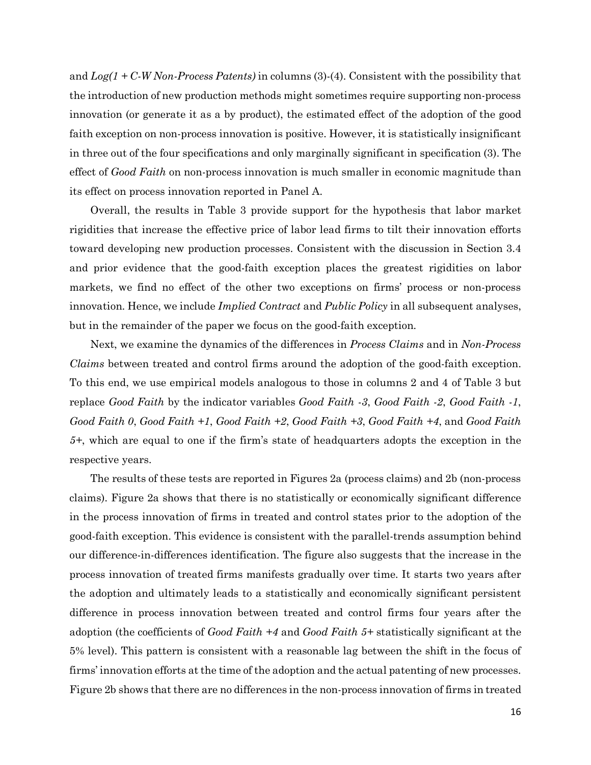and *Log(1 + C-W Non-Process Patents)* in columns (3)-(4). Consistent with the possibility that the introduction of new production methods might sometimes require supporting non-process innovation (or generate it as a by product), the estimated effect of the adoption of the good faith exception on non-process innovation is positive. However, it is statistically insignificant in three out of the four specifications and only marginally significant in specification (3). The effect of *Good Faith* on non-process innovation is much smaller in economic magnitude than its effect on process innovation reported in Panel A.

Overall, the results in Table 3 provide support for the hypothesis that labor market rigidities that increase the effective price of labor lead firms to tilt their innovation efforts toward developing new production processes. Consistent with the discussion in Section 3.4 and prior evidence that the good-faith exception places the greatest rigidities on labor markets, we find no effect of the other two exceptions on firms' process or non-process innovation. Hence, we include *Implied Contract* and *Public Policy* in all subsequent analyses, but in the remainder of the paper we focus on the good-faith exception.

Next, we examine the dynamics of the differences in *Process Claims* and in *Non-Process Claims* between treated and control firms around the adoption of the good-faith exception. To this end, we use empirical models analogous to those in columns 2 and 4 of Table 3 but replace *Good Faith* by the indicator variables *Good Faith -3*, *Good Faith -2*, *Good Faith -1*, *Good Faith 0*, *Good Faith +1*, *Good Faith +2*, *Good Faith +3*, *Good Faith +4*, and *Good Faith 5+*, which are equal to one if the firm's state of headquarters adopts the exception in the respective years.

The results of these tests are reported in Figures 2a (process claims) and 2b (non-process claims). Figure 2a shows that there is no statistically or economically significant difference in the process innovation of firms in treated and control states prior to the adoption of the good-faith exception. This evidence is consistent with the parallel-trends assumption behind our difference-in-differences identification. The figure also suggests that the increase in the process innovation of treated firms manifests gradually over time. It starts two years after the adoption and ultimately leads to a statistically and economically significant persistent difference in process innovation between treated and control firms four years after the adoption (the coefficients of *Good Faith +4* and *Good Faith 5+* statistically significant at the 5% level). This pattern is consistent with a reasonable lag between the shift in the focus of firms' innovation efforts at the time of the adoption and the actual patenting of new processes. Figure 2b shows that there are no differences in the non-process innovation of firms in treated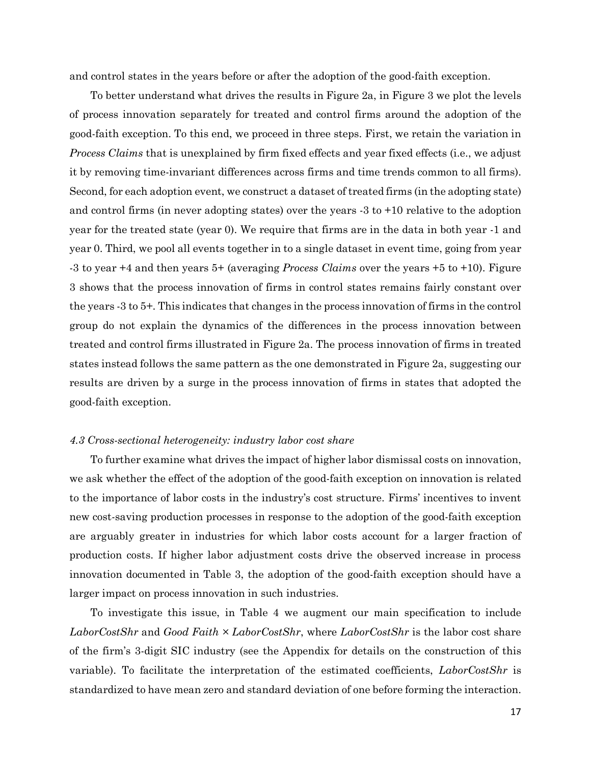and control states in the years before or after the adoption of the good-faith exception.

To better understand what drives the results in Figure 2a, in Figure 3 we plot the levels of process innovation separately for treated and control firms around the adoption of the good-faith exception. To this end, we proceed in three steps. First, we retain the variation in *Process Claims* that is unexplained by firm fixed effects and year fixed effects (i.e., we adjust it by removing time-invariant differences across firms and time trends common to all firms). Second, for each adoption event, we construct a dataset of treated firms (in the adopting state) and control firms (in never adopting states) over the years -3 to +10 relative to the adoption year for the treated state (year 0). We require that firms are in the data in both year -1 and year 0. Third, we pool all events together in to a single dataset in event time, going from year -3 to year +4 and then years 5+ (averaging *Process Claims* over the years +5 to +10). Figure 3 shows that the process innovation of firms in control states remains fairly constant over the years -3 to 5+. This indicates that changes in the process innovation of firms in the control group do not explain the dynamics of the differences in the process innovation between treated and control firms illustrated in Figure 2a. The process innovation of firms in treated states instead follows the same pattern as the one demonstrated in Figure 2a, suggesting our results are driven by a surge in the process innovation of firms in states that adopted the good-faith exception.

# *4.3 Cross-sectional heterogeneity: industry labor cost share*

To further examine what drives the impact of higher labor dismissal costs on innovation, we ask whether the effect of the adoption of the good-faith exception on innovation is related to the importance of labor costs in the industry's cost structure. Firms' incentives to invent new cost-saving production processes in response to the adoption of the good-faith exception are arguably greater in industries for which labor costs account for a larger fraction of production costs. If higher labor adjustment costs drive the observed increase in process innovation documented in Table 3, the adoption of the good-faith exception should have a larger impact on process innovation in such industries.

To investigate this issue, in Table 4 we augment our main specification to include *LaborCostShr* and *Good Faith × LaborCostShr*, where *LaborCostShr* is the labor cost share of the firm's 3-digit SIC industry (see the Appendix for details on the construction of this variable). To facilitate the interpretation of the estimated coefficients, *LaborCostShr* is standardized to have mean zero and standard deviation of one before forming the interaction.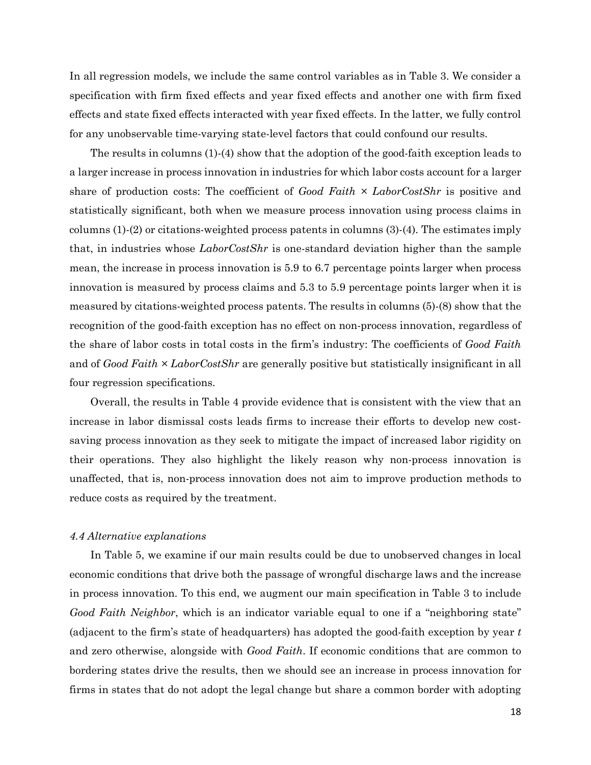In all regression models, we include the same control variables as in Table 3. We consider a specification with firm fixed effects and year fixed effects and another one with firm fixed effects and state fixed effects interacted with year fixed effects. In the latter, we fully control for any unobservable time-varying state-level factors that could confound our results.

The results in columns (1)-(4) show that the adoption of the good-faith exception leads to a larger increase in process innovation in industries for which labor costs account for a larger share of production costs: The coefficient of *Good Faith × LaborCostShr* is positive and statistically significant, both when we measure process innovation using process claims in columns (1)-(2) or citations-weighted process patents in columns (3)-(4). The estimates imply that, in industries whose *LaborCostShr* is one-standard deviation higher than the sample mean, the increase in process innovation is 5.9 to 6.7 percentage points larger when process innovation is measured by process claims and 5.3 to 5.9 percentage points larger when it is measured by citations-weighted process patents. The results in columns (5)-(8) show that the recognition of the good-faith exception has no effect on non-process innovation, regardless of the share of labor costs in total costs in the firm's industry: The coefficients of *Good Faith* and of *Good Faith × LaborCostShr* are generally positive but statistically insignificant in all four regression specifications.

Overall, the results in Table 4 provide evidence that is consistent with the view that an increase in labor dismissal costs leads firms to increase their efforts to develop new costsaving process innovation as they seek to mitigate the impact of increased labor rigidity on their operations. They also highlight the likely reason why non-process innovation is unaffected, that is, non-process innovation does not aim to improve production methods to reduce costs as required by the treatment.

### *4.4 Alternative explanations*

In Table 5, we examine if our main results could be due to unobserved changes in local economic conditions that drive both the passage of wrongful discharge laws and the increase in process innovation. To this end, we augment our main specification in Table 3 to include *Good Faith Neighbor*, which is an indicator variable equal to one if a "neighboring state" (adjacent to the firm's state of headquarters) has adopted the good-faith exception by year *t* and zero otherwise, alongside with *Good Faith*. If economic conditions that are common to bordering states drive the results, then we should see an increase in process innovation for firms in states that do not adopt the legal change but share a common border with adopting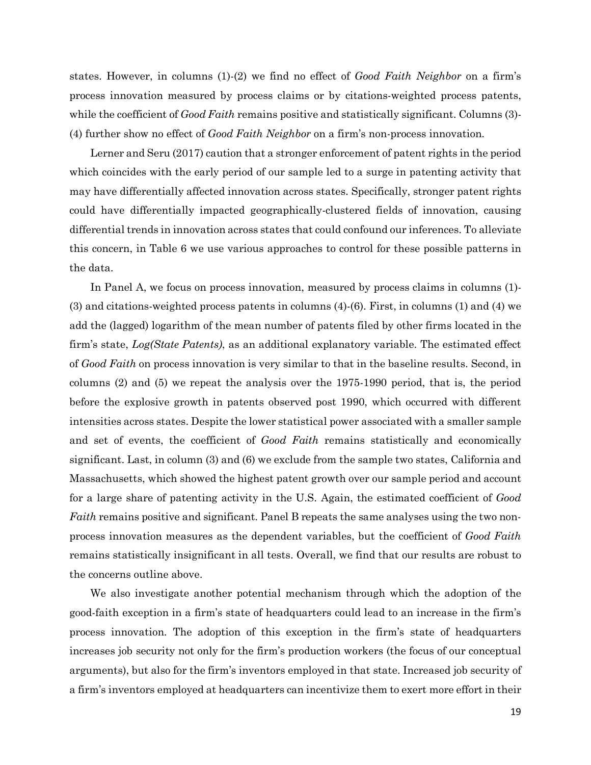states. However, in columns (1)-(2) we find no effect of *Good Faith Neighbor* on a firm's process innovation measured by process claims or by citations-weighted process patents, while the coefficient of *Good Faith* remains positive and statistically significant. Columns (3)-(4) further show no effect of *Good Faith Neighbor* on a firm's non-process innovation.

Lerner and Seru (2017) caution that a stronger enforcement of patent rights in the period which coincides with the early period of our sample led to a surge in patenting activity that may have differentially affected innovation across states. Specifically, stronger patent rights could have differentially impacted geographically-clustered fields of innovation, causing differential trends in innovation across states that could confound our inferences. To alleviate this concern, in Table 6 we use various approaches to control for these possible patterns in the data.

In Panel A, we focus on process innovation, measured by process claims in columns (1)- (3) and citations-weighted process patents in columns (4)-(6). First, in columns (1) and (4) we add the (lagged) logarithm of the mean number of patents filed by other firms located in the firm's state, *Log(State Patents)*, as an additional explanatory variable. The estimated effect of *Good Faith* on process innovation is very similar to that in the baseline results. Second, in columns (2) and (5) we repeat the analysis over the 1975-1990 period, that is, the period before the explosive growth in patents observed post 1990, which occurred with different intensities across states. Despite the lower statistical power associated with a smaller sample and set of events, the coefficient of *Good Faith* remains statistically and economically significant. Last, in column (3) and (6) we exclude from the sample two states, California and Massachusetts, which showed the highest patent growth over our sample period and account for a large share of patenting activity in the U.S. Again, the estimated coefficient of *Good Faith* remains positive and significant. Panel B repeats the same analyses using the two nonprocess innovation measures as the dependent variables, but the coefficient of *Good Faith* remains statistically insignificant in all tests. Overall, we find that our results are robust to the concerns outline above.

We also investigate another potential mechanism through which the adoption of the good-faith exception in a firm's state of headquarters could lead to an increase in the firm's process innovation. The adoption of this exception in the firm's state of headquarters increases job security not only for the firm's production workers (the focus of our conceptual arguments), but also for the firm's inventors employed in that state. Increased job security of a firm's inventors employed at headquarters can incentivize them to exert more effort in their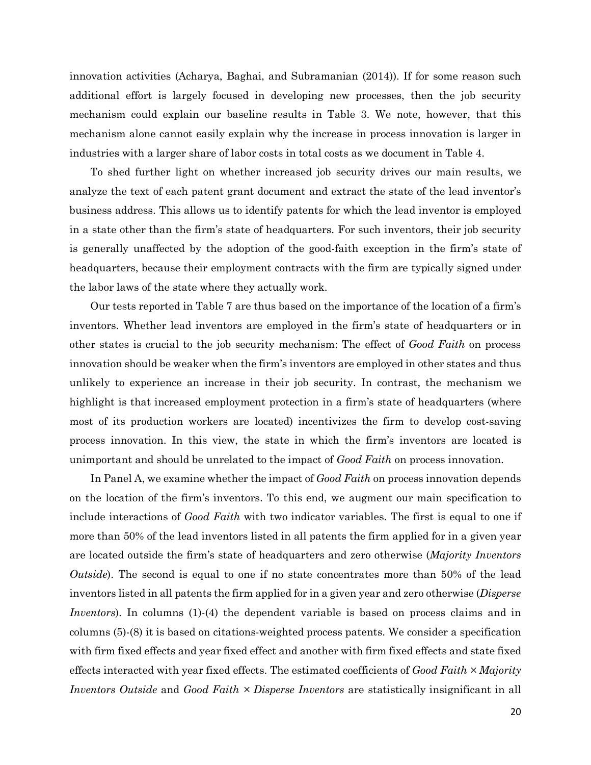innovation activities (Acharya, Baghai, and Subramanian (2014)). If for some reason such additional effort is largely focused in developing new processes, then the job security mechanism could explain our baseline results in Table 3. We note, however, that this mechanism alone cannot easily explain why the increase in process innovation is larger in industries with a larger share of labor costs in total costs as we document in Table 4.

To shed further light on whether increased job security drives our main results, we analyze the text of each patent grant document and extract the state of the lead inventor's business address. This allows us to identify patents for which the lead inventor is employed in a state other than the firm's state of headquarters. For such inventors, their job security is generally unaffected by the adoption of the good-faith exception in the firm's state of headquarters, because their employment contracts with the firm are typically signed under the labor laws of the state where they actually work.

Our tests reported in Table 7 are thus based on the importance of the location of a firm's inventors. Whether lead inventors are employed in the firm's state of headquarters or in other states is crucial to the job security mechanism: The effect of *Good Faith* on process innovation should be weaker when the firm's inventors are employed in other states and thus unlikely to experience an increase in their job security. In contrast, the mechanism we highlight is that increased employment protection in a firm's state of headquarters (where most of its production workers are located) incentivizes the firm to develop cost-saving process innovation. In this view, the state in which the firm's inventors are located is unimportant and should be unrelated to the impact of *Good Faith* on process innovation.

In Panel A, we examine whether the impact of *Good Faith* on process innovation depends on the location of the firm's inventors. To this end, we augment our main specification to include interactions of *Good Faith* with two indicator variables. The first is equal to one if more than 50% of the lead inventors listed in all patents the firm applied for in a given year are located outside the firm's state of headquarters and zero otherwise (*Majority Inventors Outside*). The second is equal to one if no state concentrates more than 50% of the lead inventors listed in all patents the firm applied for in a given year and zero otherwise (*Disperse Inventors*). In columns (1)-(4) the dependent variable is based on process claims and in columns (5)-(8) it is based on citations-weighted process patents. We consider a specification with firm fixed effects and year fixed effect and another with firm fixed effects and state fixed effects interacted with year fixed effects. The estimated coefficients of *Good Faith × Majority Inventors Outside* and *Good Faith × Disperse Inventors* are statistically insignificant in all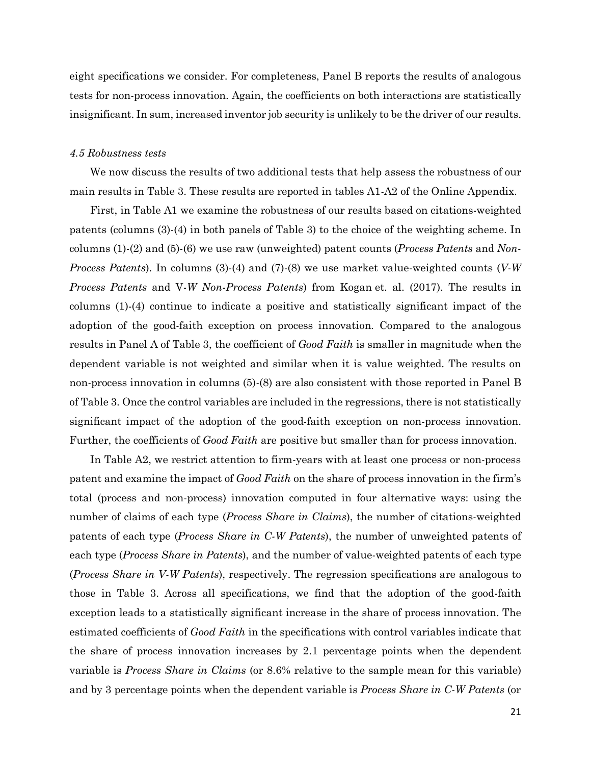eight specifications we consider. For completeness, Panel B reports the results of analogous tests for non-process innovation. Again, the coefficients on both interactions are statistically insignificant. In sum, increased inventor job security is unlikely to be the driver of our results.

## *4.5 Robustness tests*

We now discuss the results of two additional tests that help assess the robustness of our main results in Table 3. These results are reported in tables A1-A2 of the Online Appendix.

First, in Table A1 we examine the robustness of our results based on citations-weighted patents (columns (3)-(4) in both panels of Table 3) to the choice of the weighting scheme. In columns (1)-(2) and (5)-(6) we use raw (unweighted) patent counts (*Process Patents* and *Non-Process Patents*). In columns (3)-(4) and (7)-(8) we use market value-weighted counts (*V-W Process Patents* and V*-W Non-Process Patents*) from Kogan et. al. (2017). The results in columns (1)-(4) continue to indicate a positive and statistically significant impact of the adoption of the good-faith exception on process innovation. Compared to the analogous results in Panel A of Table 3, the coefficient of *Good Faith* is smaller in magnitude when the dependent variable is not weighted and similar when it is value weighted. The results on non-process innovation in columns (5)-(8) are also consistent with those reported in Panel B of Table 3. Once the control variables are included in the regressions, there is not statistically significant impact of the adoption of the good-faith exception on non-process innovation. Further, the coefficients of *Good Faith* are positive but smaller than for process innovation.

In Table A2, we restrict attention to firm-years with at least one process or non-process patent and examine the impact of *Good Faith* on the share of process innovation in the firm's total (process and non-process) innovation computed in four alternative ways: using the number of claims of each type (*Process Share in Claims*), the number of citations-weighted patents of each type (*Process Share in C-W Patents*), the number of unweighted patents of each type (*Process Share in Patents*), and the number of value-weighted patents of each type (*Process Share in V-W Patents*), respectively. The regression specifications are analogous to those in Table 3. Across all specifications, we find that the adoption of the good-faith exception leads to a statistically significant increase in the share of process innovation. The estimated coefficients of *Good Faith* in the specifications with control variables indicate that the share of process innovation increases by 2.1 percentage points when the dependent variable is *Process Share in Claims* (or 8.6% relative to the sample mean for this variable) and by 3 percentage points when the dependent variable is *Process Share in C-W Patents* (or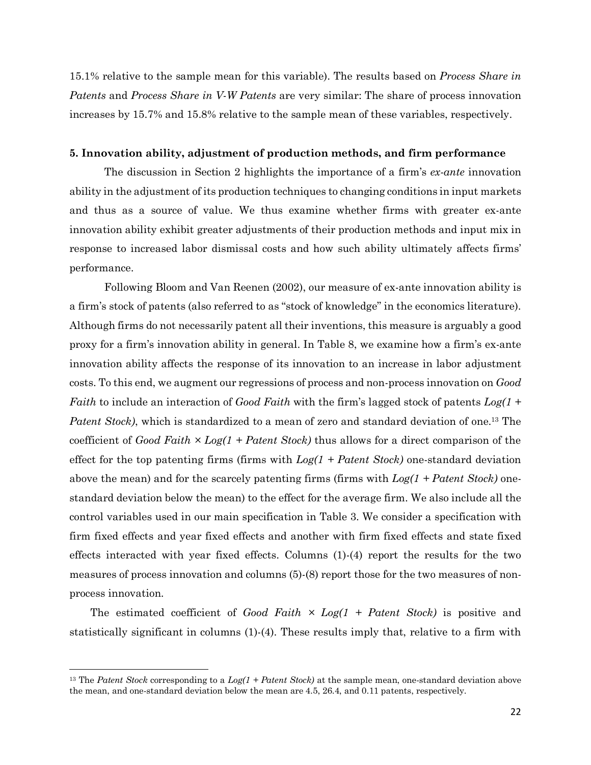15.1% relative to the sample mean for this variable). The results based on *Process Share in Patents* and *Process Share in V-W Patents* are very similar: The share of process innovation increases by 15.7% and 15.8% relative to the sample mean of these variables, respectively.

### **5. Innovation ability, adjustment of production methods, and firm performance**

The discussion in Section 2 highlights the importance of a firm's *ex-ante* innovation ability in the adjustment of its production techniques to changing conditions in input markets and thus as a source of value. We thus examine whether firms with greater ex-ante innovation ability exhibit greater adjustments of their production methods and input mix in response to increased labor dismissal costs and how such ability ultimately affects firms' performance.

Following Bloom and Van Reenen (2002), our measure of ex-ante innovation ability is a firm's stock of patents (also referred to as "stock of knowledge" in the economics literature). Although firms do not necessarily patent all their inventions, this measure is arguably a good proxy for a firm's innovation ability in general. In Table 8, we examine how a firm's ex-ante innovation ability affects the response of its innovation to an increase in labor adjustment costs. To this end, we augment our regressions of process and non-process innovation on *Good Faith* to include an interaction of *Good Faith* with the firm's lagged stock of patents *Log(1 + Patent Stock)*, which is standardized to a mean of zero and standard deviation of one. <sup>13</sup> The coefficient of *Good Faith × Log(1 + Patent Stock)* thus allows for a direct comparison of the effect for the top patenting firms (firms with *Log(1 + Patent Stock)* one-standard deviation above the mean) and for the scarcely patenting firms (firms with *Log(1 + Patent Stock)* onestandard deviation below the mean) to the effect for the average firm. We also include all the control variables used in our main specification in Table 3. We consider a specification with firm fixed effects and year fixed effects and another with firm fixed effects and state fixed effects interacted with year fixed effects. Columns (1)-(4) report the results for the two measures of process innovation and columns (5)-(8) report those for the two measures of nonprocess innovation.

The estimated coefficient of *Good Faith × Log(1 + Patent Stock)* is positive and statistically significant in columns (1)-(4). These results imply that, relative to a firm with

l

<sup>13</sup> The *Patent Stock* corresponding to a *Log(1 + Patent Stock)* at the sample mean, one-standard deviation above the mean, and one-standard deviation below the mean are 4.5, 26.4, and 0.11 patents, respectively.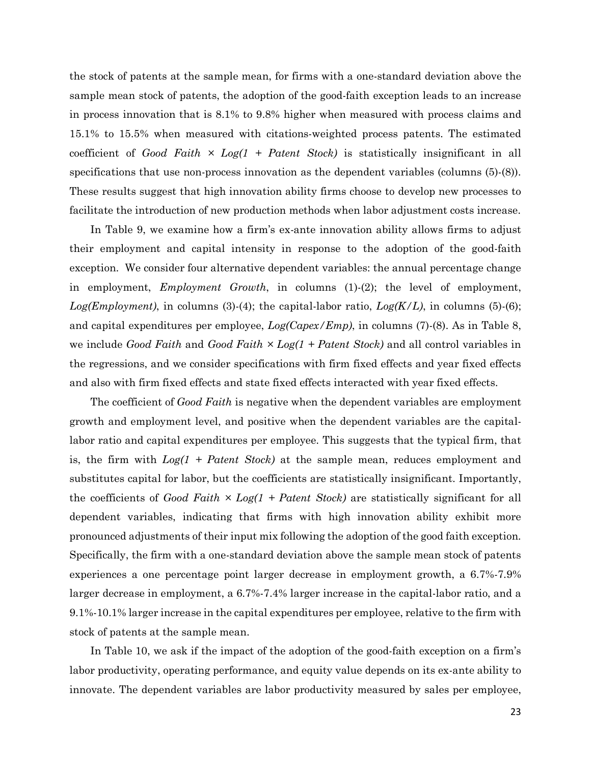the stock of patents at the sample mean, for firms with a one-standard deviation above the sample mean stock of patents, the adoption of the good-faith exception leads to an increase in process innovation that is 8.1% to 9.8% higher when measured with process claims and 15.1% to 15.5% when measured with citations-weighted process patents. The estimated coefficient of *Good Faith*  $\times$  *Log(1 + Patent Stock)* is statistically insignificant in all specifications that use non-process innovation as the dependent variables (columns (5)-(8)). These results suggest that high innovation ability firms choose to develop new processes to facilitate the introduction of new production methods when labor adjustment costs increase.

In Table 9, we examine how a firm's ex-ante innovation ability allows firms to adjust their employment and capital intensity in response to the adoption of the good-faith exception. We consider four alternative dependent variables: the annual percentage change in employment, *Employment Growth*, in columns (1)-(2); the level of employment, *Log(Employment)*, in columns (3)-(4); the capital-labor ratio, *Log(K/L)*, in columns (5)-(6); and capital expenditures per employee, *Log(Capex/Emp)*, in columns (7)-(8). As in Table 8, we include *Good Faith* and *Good Faith × Log(1 + Patent Stock)* and all control variables in the regressions, and we consider specifications with firm fixed effects and year fixed effects and also with firm fixed effects and state fixed effects interacted with year fixed effects.

The coefficient of *Good Faith* is negative when the dependent variables are employment growth and employment level, and positive when the dependent variables are the capitallabor ratio and capital expenditures per employee. This suggests that the typical firm, that is, the firm with *Log(1 + Patent Stock)* at the sample mean, reduces employment and substitutes capital for labor, but the coefficients are statistically insignificant. Importantly, the coefficients of *Good Faith*  $\times$  *Log(1 + Patent Stock)* are statistically significant for all dependent variables, indicating that firms with high innovation ability exhibit more pronounced adjustments of their input mix following the adoption of the good faith exception. Specifically, the firm with a one-standard deviation above the sample mean stock of patents experiences a one percentage point larger decrease in employment growth, a 6.7%-7.9% larger decrease in employment, a 6.7%-7.4% larger increase in the capital-labor ratio, and a 9.1%-10.1% larger increase in the capital expenditures per employee, relative to the firm with stock of patents at the sample mean.

In Table 10, we ask if the impact of the adoption of the good-faith exception on a firm's labor productivity, operating performance, and equity value depends on its ex-ante ability to innovate. The dependent variables are labor productivity measured by sales per employee,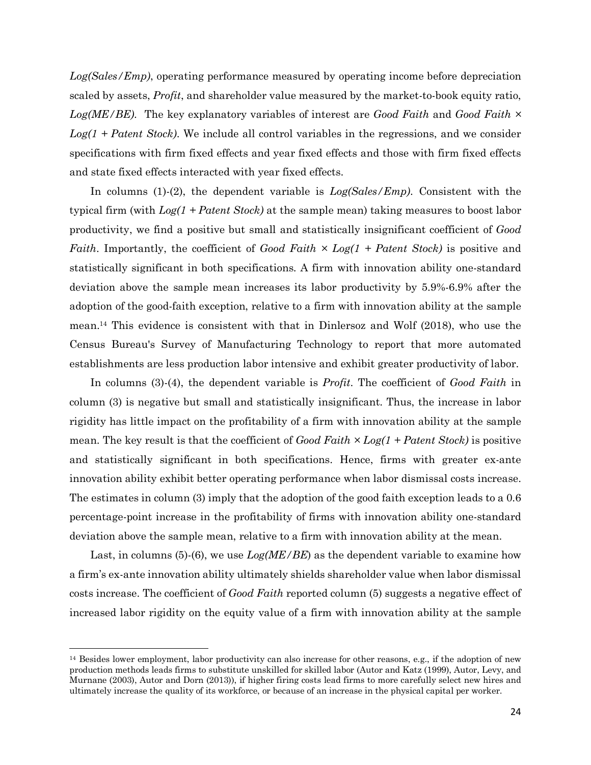*Log(Sales/Emp)*, operating performance measured by operating income before depreciation scaled by assets, *Profit*, and shareholder value measured by the market-to-book equity ratio, *Log(ME/BE)*. The key explanatory variables of interest are *Good Faith* and *Good Faith × Log(1 + Patent Stock)*. We include all control variables in the regressions, and we consider specifications with firm fixed effects and year fixed effects and those with firm fixed effects and state fixed effects interacted with year fixed effects.

In columns (1)-(2), the dependent variable is *Log(Sales/Emp)*. Consistent with the typical firm (with *Log(1 + Patent Stock)* at the sample mean) taking measures to boost labor productivity, we find a positive but small and statistically insignificant coefficient of *Good Faith*. Importantly, the coefficient of *Good Faith × Log(1 + Patent Stock)* is positive and statistically significant in both specifications. A firm with innovation ability one-standard deviation above the sample mean increases its labor productivity by 5.9%-6.9% after the adoption of the good-faith exception, relative to a firm with innovation ability at the sample mean. <sup>14</sup> This evidence is consistent with that in Dinlersoz and Wolf (2018), who use the Census Bureau's Survey of Manufacturing Technology to report that more automated establishments are less production labor intensive and exhibit greater productivity of labor.

In columns (3)-(4), the dependent variable is *Profit*. The coefficient of *Good Faith* in column (3) is negative but small and statistically insignificant. Thus, the increase in labor rigidity has little impact on the profitability of a firm with innovation ability at the sample mean. The key result is that the coefficient of *Good Faith × Log(1 + Patent Stock)* is positive and statistically significant in both specifications. Hence, firms with greater ex-ante innovation ability exhibit better operating performance when labor dismissal costs increase. The estimates in column (3) imply that the adoption of the good faith exception leads to a 0.6 percentage-point increase in the profitability of firms with innovation ability one-standard deviation above the sample mean, relative to a firm with innovation ability at the mean.

Last, in columns (5)-(6), we use *Log(ME/BE*) as the dependent variable to examine how a firm's ex-ante innovation ability ultimately shields shareholder value when labor dismissal costs increase. The coefficient of *Good Faith* reported column (5) suggests a negative effect of increased labor rigidity on the equity value of a firm with innovation ability at the sample

 $\overline{\phantom{a}}$ 

<sup>&</sup>lt;sup>14</sup> Besides lower employment, labor productivity can also increase for other reasons, e.g., if the adoption of new production methods leads firms to substitute unskilled for skilled labor (Autor and Katz (1999), Autor, Levy, and Murnane (2003), Autor and Dorn (2013)), if higher firing costs lead firms to more carefully select new hires and ultimately increase the quality of its workforce, or because of an increase in the physical capital per worker.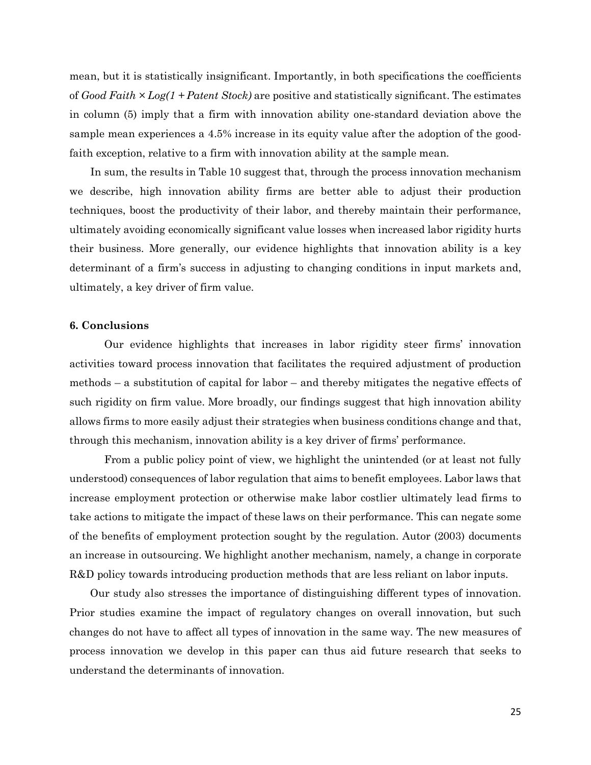mean, but it is statistically insignificant. Importantly, in both specifications the coefficients of *Good Faith × Log(1 + Patent Stock)* are positive and statistically significant. The estimates in column (5) imply that a firm with innovation ability one-standard deviation above the sample mean experiences a 4.5% increase in its equity value after the adoption of the goodfaith exception, relative to a firm with innovation ability at the sample mean.

In sum, the results in Table 10 suggest that, through the process innovation mechanism we describe, high innovation ability firms are better able to adjust their production techniques, boost the productivity of their labor, and thereby maintain their performance, ultimately avoiding economically significant value losses when increased labor rigidity hurts their business. More generally, our evidence highlights that innovation ability is a key determinant of a firm's success in adjusting to changing conditions in input markets and, ultimately, a key driver of firm value.

## **6. Conclusions**

Our evidence highlights that increases in labor rigidity steer firms' innovation activities toward process innovation that facilitates the required adjustment of production methods – a substitution of capital for labor – and thereby mitigates the negative effects of such rigidity on firm value. More broadly, our findings suggest that high innovation ability allows firms to more easily adjust their strategies when business conditions change and that, through this mechanism, innovation ability is a key driver of firms' performance.

From a public policy point of view, we highlight the unintended (or at least not fully understood) consequences of labor regulation that aims to benefit employees. Labor laws that increase employment protection or otherwise make labor costlier ultimately lead firms to take actions to mitigate the impact of these laws on their performance. This can negate some of the benefits of employment protection sought by the regulation. Autor (2003) documents an increase in outsourcing. We highlight another mechanism, namely, a change in corporate R&D policy towards introducing production methods that are less reliant on labor inputs.

Our study also stresses the importance of distinguishing different types of innovation. Prior studies examine the impact of regulatory changes on overall innovation, but such changes do not have to affect all types of innovation in the same way. The new measures of process innovation we develop in this paper can thus aid future research that seeks to understand the determinants of innovation.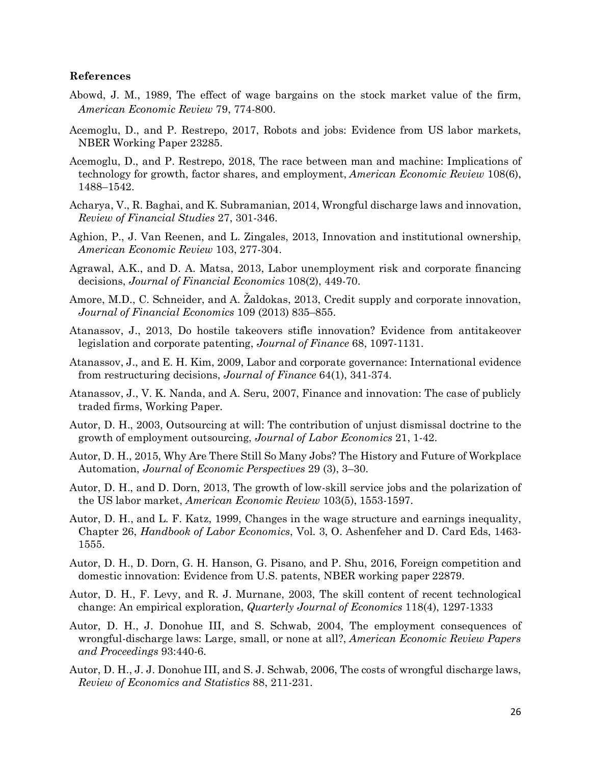### **References**

- Abowd, J. M., 1989, The effect of wage bargains on the stock market value of the firm, *American Economic Review* 79, 774-800.
- Acemoglu, D., and P. Restrepo, 2017, Robots and jobs: Evidence from US labor markets, NBER Working Paper 23285.
- Acemoglu, D., and P. Restrepo, 2018, The race between man and machine: Implications of technology for growth, factor shares, and employment, *American Economic Review* 108(6), 1488–1542.
- Acharya, V., R. Baghai, and K. Subramanian, 2014, Wrongful discharge laws and innovation, *Review of Financial Studies* 27, 301-346.
- Aghion, P., J. Van Reenen, and L. Zingales, 2013, Innovation and institutional ownership, *American Economic Review* 103, 277-304.
- Agrawal, A.K., and D. A. Matsa, 2013, Labor unemployment risk and corporate financing decisions, *Journal of Financial Economics* 108(2), 449-70.
- Amore, M.D., C. Schneider, and A. Žaldokas, 2013, Credit supply and corporate innovation, *Journal of Financial Economics* 109 (2013) 835–855.
- Atanassov, J., 2013, Do hostile takeovers stifle innovation? Evidence from antitakeover legislation and corporate patenting, *Journal of Finance* 68, 1097-1131.
- Atanassov, J., and E. H. Kim, 2009, Labor and corporate governance: International evidence from restructuring decisions, *Journal of Finance* 64(1), 341-374.
- Atanassov, J., V. K. Nanda, and A. Seru, 2007, Finance and innovation: The case of publicly traded firms, Working Paper.
- Autor, D. H., 2003, Outsourcing at will: The contribution of unjust dismissal doctrine to the growth of employment outsourcing, *Journal of Labor Economics* 21, 1-42.
- Autor, D. H., 2015, Why Are There Still So Many Jobs? The History and Future of Workplace Automation, *Journal of Economic Perspectives* 29 (3), 3–30.
- Autor, D. H., and D. Dorn, 2013, The growth of low-skill service jobs and the polarization of the US labor market, *American Economic Review* 103(5), 1553-1597.
- Autor, D. H., and L. F. Katz, 1999, Changes in the wage structure and earnings inequality, Chapter 26, *Handbook of Labor Economics*, Vol. 3, O. Ashenfeher and D. Card Eds, 1463- 1555.
- Autor, D. H., D. Dorn, G. H. Hanson, G. Pisano, and P. Shu, 2016, Foreign competition and domestic innovation: Evidence from U.S. patents, NBER working paper 22879.
- Autor, D. H., F. Levy, and R. J. Murnane, 2003, The skill content of recent technological change: An empirical exploration, *Quarterly Journal of Economics* 118(4), 1297-1333
- Autor, D. H., J. Donohue III, and S. Schwab, 2004, The employment consequences of wrongful-discharge laws: Large, small, or none at all?, *American Economic Review Papers and Proceedings* 93:440-6.
- Autor, D. H., J. J. Donohue III, and S. J. Schwab, 2006, The costs of wrongful discharge laws, *Review of Economics and Statistics* 88, 211-231.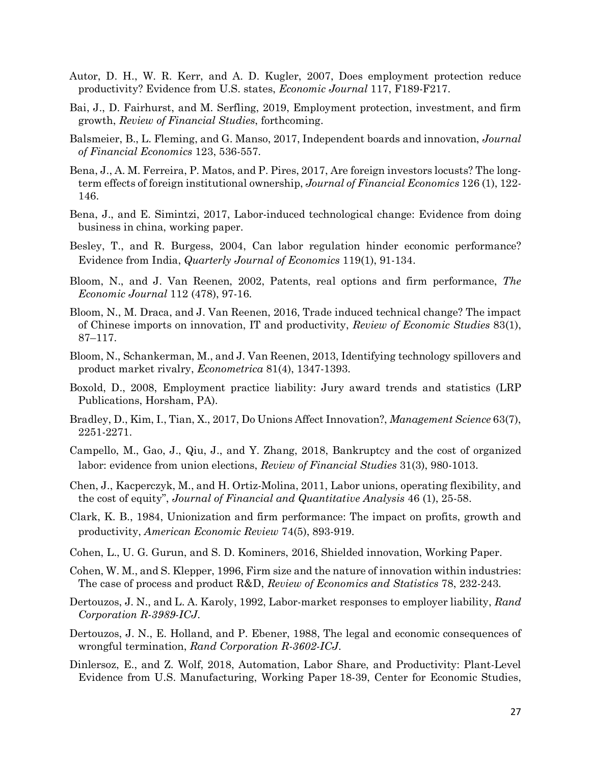- Autor, D. H., W. R. Kerr, and A. D. Kugler, 2007, Does employment protection reduce productivity? Evidence from U.S. states, *Economic Journal* 117, F189-F217.
- Bai, J., D. Fairhurst, and M. Serfling, 2019, Employment protection, investment, and firm growth, *Review of Financial Studies*, forthcoming.
- Balsmeier, B., L. Fleming, and G. Manso, 2017, Independent boards and innovation, *Journal of Financial Economics* 123, 536-557.
- Bena, J., A. M. Ferreira, P. Matos, and P. Pires, 2017, Are foreign investors locusts? The longterm effects of foreign institutional ownership, *Journal of Financial Economics* 126 (1), 122- 146.
- Bena, J., and E. Simintzi, 2017, Labor-induced technological change: Evidence from doing business in china, working paper.
- Besley, T., and R. Burgess, 2004, Can labor regulation hinder economic performance? Evidence from India, *Quarterly Journal of Economics* 119(1), 91-134.
- Bloom, N., and J. Van Reenen, 2002, Patents, real options and firm performance, *The Economic Journal* 112 (478), 97-16.
- Bloom, N., M. Draca, and J. Van Reenen, 2016, Trade induced technical change? The impact of Chinese imports on innovation, IT and productivity, *Review of Economic Studies* 83(1), 87–117.
- Bloom, N., Schankerman, M., and J. Van Reenen, 2013, Identifying technology spillovers and product market rivalry, *Econometrica* 81(4), 1347-1393.
- Boxold, D., 2008, Employment practice liability: Jury award trends and statistics (LRP Publications, Horsham, PA).
- Bradley, D., Kim, I., Tian, X., 2017, Do Unions Affect Innovation?, *Management Science* 63(7), 2251-2271.
- Campello, M., Gao, J., Qiu, J., and Y. Zhang, 2018, Bankruptcy and the cost of organized labor: evidence from union elections, *Review of Financial Studies* 31(3), 980-1013.
- Chen, J., Kacperczyk, M., and H. Ortiz-Molina, 2011, Labor unions, operating flexibility, and the cost of equity", *Journal of Financial and Quantitative Analysis* 46 (1), 25-58.
- Clark, K. B., 1984, Unionization and firm performance: The impact on profits, growth and productivity, *American Economic Review* 74(5), 893-919.
- Cohen, L., U. G. Gurun, and S. D. Kominers, 2016, Shielded innovation, Working Paper.
- Cohen, W. M., and S. Klepper, 1996, Firm size and the nature of innovation within industries: The case of process and product R&D, *Review of Economics and Statistics* 78, 232-243.
- Dertouzos, J. N., and L. A. Karoly, 1992, Labor-market responses to employer liability, *Rand Corporation R-3989-ICJ*.
- Dertouzos, J. N., E. Holland, and P. Ebener, 1988, The legal and economic consequences of wrongful termination, *Rand Corporation R-3602-ICJ*.
- Dinlersoz, E., and Z. Wolf, 2018, Automation, Labor Share, and Productivity: Plant-Level Evidence from U.S. Manufacturing, Working Paper 18-39, Center for Economic Studies,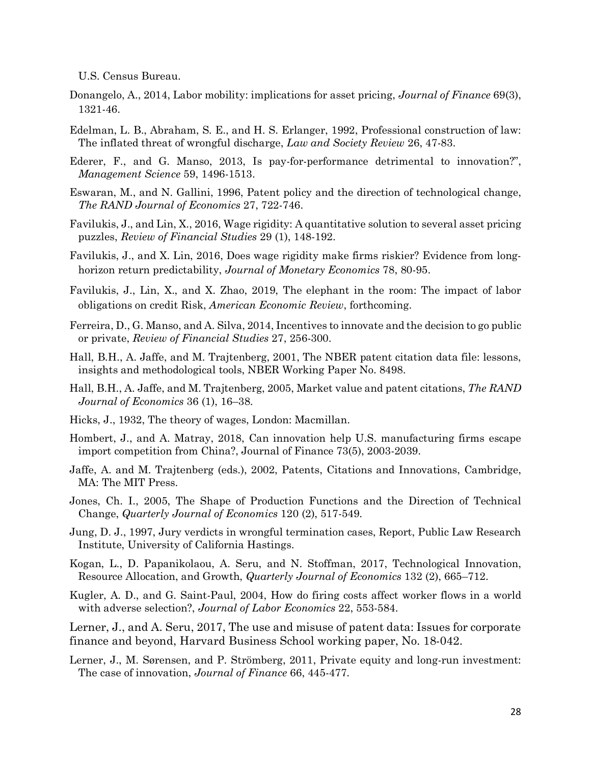U.S. Census Bureau.

- Donangelo, A., 2014, Labor mobility: implications for asset pricing, *Journal of Finance* 69(3), 1321-46.
- Edelman, L. B., Abraham, S. E., and H. S. Erlanger, 1992, Professional construction of law: The inflated threat of wrongful discharge, *Law and Society Review* 26, 47-83.
- Ederer, F., and G. Manso, 2013, Is pay-for-performance detrimental to innovation?", *Management Science* 59, 1496-1513.
- Eswaran, M., and N. Gallini, 1996, Patent policy and the direction of technological change, *The RAND Journal of Economics* 27, 722-746.
- Favilukis, J., and Lin, X., 2016, Wage rigidity: A quantitative solution to several asset pricing puzzles, *Review of Financial Studies* 29 (1), 148-192.
- Favilukis, J., and X. Lin, 2016, Does wage rigidity make firms riskier? Evidence from longhorizon return predictability, *Journal of Monetary Economics* 78, 80-95.
- Favilukis, J., Lin, X., and X. Zhao, 2019, The elephant in the room: The impact of labor obligations on credit Risk, *American Economic Review*, forthcoming.
- Ferreira, D., G. Manso, and A. Silva, 2014, Incentives to innovate and the decision to go public or private, *Review of Financial Studies* 27, 256-300.
- Hall, B.H., A. Jaffe, and M. Trajtenberg, 2001, The NBER patent citation data file: lessons, insights and methodological tools, NBER Working Paper No. 8498.
- Hall, B.H., A. Jaffe, and M. Trajtenberg, 2005, Market value and patent citations, *The RAND Journal of Economics* 36 (1), 16–38.
- Hicks, J., 1932, The theory of wages, London: Macmillan.
- Hombert, J., and A. Matray, 2018, Can innovation help U.S. manufacturing firms escape import competition from China?, Journal of Finance 73(5), 2003-2039.
- Jaffe, A. and M. Trajtenberg (eds.), 2002, Patents, Citations and Innovations, Cambridge, MA: The MIT Press.
- Jones, Ch. I., 2005, The Shape of Production Functions and the Direction of Technical Change, *Quarterly Journal of Economics* 120 (2), 517-549.
- Jung, D. J., 1997, Jury verdicts in wrongful termination cases, Report, Public Law Research Institute, University of California Hastings.
- Kogan, L., D. Papanikolaou, A. Seru, and N. Stoffman, 2017, Technological Innovation, Resource Allocation, and Growth, *Quarterly Journal of Economics* 132 (2), 665–712.
- Kugler, A. D., and G. Saint-Paul, 2004, How do firing costs affect worker flows in a world with adverse selection?, *Journal of Labor Economics* 22, 553-584.

Lerner, J., and A. Seru, 2017, The use and misuse of patent data: Issues for corporate finance and beyond, Harvard Business School working paper, No. 18-042.

Lerner, J., M. Sørensen, and P. Strömberg, 2011, Private equity and long-run investment: The case of innovation, *Journal of Finance* 66, 445-477.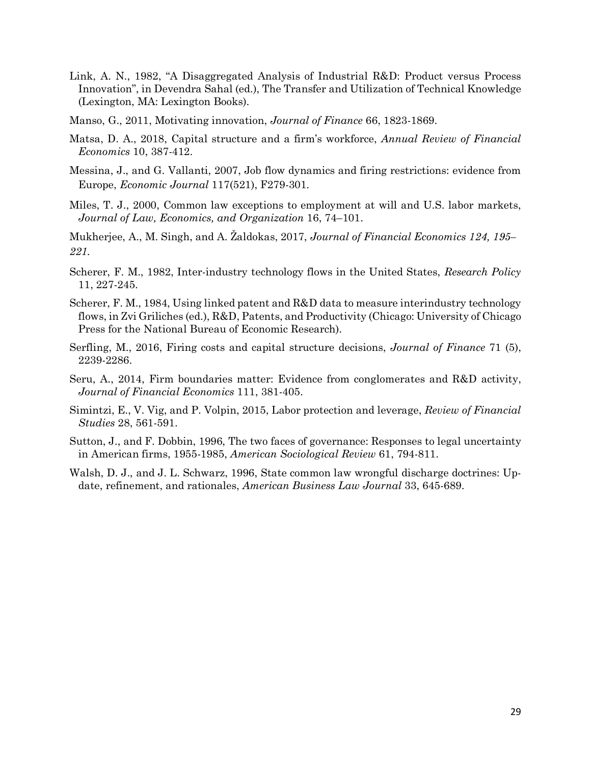- Link, A. N., 1982, "A Disaggregated Analysis of Industrial R&D: Product versus Process Innovation", in Devendra Sahal (ed.), The Transfer and Utilization of Technical Knowledge (Lexington, MA: Lexington Books).
- Manso, G., 2011, Motivating innovation, *Journal of Finance* 66, 1823-1869.
- Matsa, D. A., 2018, Capital structure and a firm's workforce, *Annual Review of Financial Economics* 10, 387-412.
- Messina, J., and G. Vallanti, 2007, Job flow dynamics and firing restrictions: evidence from Europe, *Economic Journal* 117(521), F279-301.
- Miles, T. J., 2000, Common law exceptions to employment at will and U.S. labor markets, *Journal of Law, Economics, and Organization* 16, 74–101.
- Mukherjee, A., M. Singh, and A. Žaldokas, 2017, *Journal of Financial Economics 124, 195– 221.*
- Scherer, F. M., 1982, Inter-industry technology flows in the United States, *Research Policy* 11, 227-245.
- Scherer, F. M., 1984, Using linked patent and R&D data to measure interindustry technology flows, in Zvi Griliches (ed.), R&D, Patents, and Productivity (Chicago: University of Chicago Press for the National Bureau of Economic Research).
- Serfling, M., 2016, Firing costs and capital structure decisions, *Journal of Finance* 71 (5), 2239-2286.
- Seru, A., 2014, Firm boundaries matter: Evidence from conglomerates and R&D activity, *Journal of Financial Economics* 111, 381-405.
- Simintzi, E., V. Vig, and P. Volpin, 2015, Labor protection and leverage, *Review of Financial Studies* 28, 561-591.
- Sutton, J., and F. Dobbin, 1996, The two faces of governance: Responses to legal uncertainty in American firms, 1955-1985, *American Sociological Review* 61, 794-811.
- Walsh, D. J., and J. L. Schwarz, 1996, State common law wrongful discharge doctrines: Update, refinement, and rationales, *American Business Law Journal* 33, 645-689.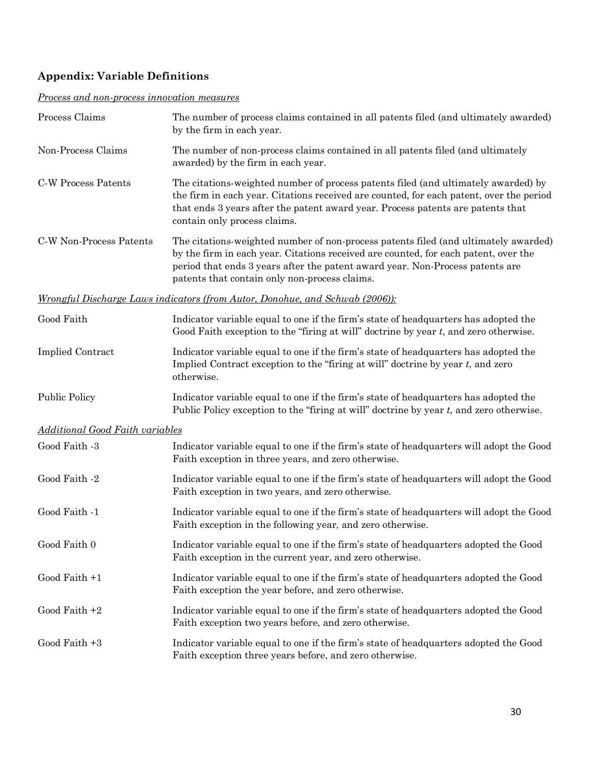# **Appendix: Variable Definitions**

# *Process and non-process innovation measures*

| Process Claims                         | The number of process claims contained in all patents filed (and ultimately awarded)<br>by the firm in each year.                                                                                                                                                                                            |
|----------------------------------------|--------------------------------------------------------------------------------------------------------------------------------------------------------------------------------------------------------------------------------------------------------------------------------------------------------------|
| Non-Process Claims                     | The number of non-process claims contained in all patents filed (and ultimately<br>awarded) by the firm in each year.                                                                                                                                                                                        |
| C-W Process Patents                    | The citations-weighted number of process patents filed (and ultimately awarded) by<br>the firm in each year. Citations received are counted, for each patent, over the period<br>that ends 3 years after the patent award year. Process patents are patents that<br>contain only process claims.             |
| C-W Non-Process Patents                | The citations-weighted number of non-process patents filed (and ultimately awarded)<br>by the firm in each year. Citations received are counted, for each patent, over the<br>period that ends 3 years after the patent award year. Non-Process patents are<br>patents that contain only non-process claims. |
|                                        | <u>Wrongful Discharge Laws indicators (from Autor, Donohue, and Schwab (2006)):</u>                                                                                                                                                                                                                          |
| Good Faith                             | Indicator variable equal to one if the firm's state of headquarters has adopted the<br>Good Faith exception to the "firing at will" doctrine by year t, and zero otherwise.                                                                                                                                  |
| <b>Implied Contract</b>                | Indicator variable equal to one if the firm's state of headquarters has adopted the<br>Implied Contract exception to the "firing at will" doctrine by year $t$ , and zero<br>otherwise.                                                                                                                      |
| <b>Public Policy</b>                   | Indicator variable equal to one if the firm's state of headquarters has adopted the<br>Public Policy exception to the "firing at will" doctrine by year t, and zero otherwise.                                                                                                                               |
| <b>Additional Good Faith variables</b> |                                                                                                                                                                                                                                                                                                              |
| Good Faith -3                          | Indicator variable equal to one if the firm's state of headquarters will adopt the Good<br>Faith exception in three years, and zero otherwise.                                                                                                                                                               |
| Good Faith -2                          | Indicator variable equal to one if the firm's state of headquarters will adopt the Good<br>Faith exception in two years, and zero otherwise.                                                                                                                                                                 |
| Good Faith -1                          | Indicator variable equal to one if the firm's state of headquarters will adopt the Good<br>Faith exception in the following year, and zero otherwise.                                                                                                                                                        |
| Good Faith 0                           | Indicator variable equal to one if the firm's state of headquarters adopted the Good<br>Faith exception in the current year, and zero otherwise.                                                                                                                                                             |
| Good Faith +1                          | Indicator variable equal to one if the firm's state of headquarters adopted the Good<br>Faith exception the year before, and zero otherwise.                                                                                                                                                                 |
| Good Faith $+2$                        | Indicator variable equal to one if the firm's state of headquarters adopted the Good<br>Faith exception two years before, and zero otherwise.                                                                                                                                                                |
| Good Faith +3                          | Indicator variable equal to one if the firm's state of headquarters adopted the Good<br>Faith exception three years before, and zero otherwise.                                                                                                                                                              |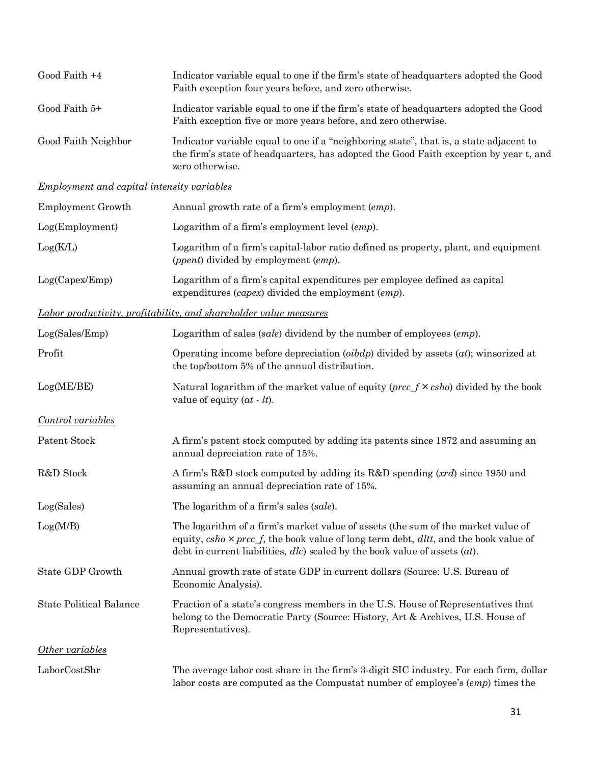| Good Faith $+4$     | Indicator variable equal to one if the firm's state of headquarters adopted the Good<br>Faith exception four years before, and zero otherwise.                                                     |
|---------------------|----------------------------------------------------------------------------------------------------------------------------------------------------------------------------------------------------|
| Good Faith 5+       | Indicator variable equal to one if the firm's state of headquarters adopted the Good<br>Faith exception five or more years before, and zero otherwise.                                             |
| Good Faith Neighbor | Indicator variable equal to one if a "neighboring state", that is, a state adjacent to<br>the firm's state of headquarters, has adopted the Good Faith exception by year t, and<br>zero otherwise. |

# *Employment and capital intensity variables*

| Employment Growth | Annual growth rate of a firm's employment (emp).                                                                                              |
|-------------------|-----------------------------------------------------------------------------------------------------------------------------------------------|
| Log(Employment)   | Logarithm of a firm's employment level $\langle emp \rangle$ .                                                                                |
| Log(K/L)          | Logarithm of a firm's capital-labor ratio defined as property, plant, and equipment<br>( <i>ppent</i> ) divided by employment ( <i>emp</i> ). |
| Log(Capex/Emp)    | Logarithm of a firm's capital expenditures per employee defined as capital<br>expenditures $(capex)$ divided the employment $(emp)$ .         |

# *Labor productivity, profitability, and shareholder value measures*

| Log(Sales/Emp)                 | Logarithm of sales (sale) dividend by the number of employees (emp).                                                                                                                                                                                                     |  |  |  |  |  |
|--------------------------------|--------------------------------------------------------------------------------------------------------------------------------------------------------------------------------------------------------------------------------------------------------------------------|--|--|--|--|--|
| Profit                         | Operating income before depreciation $(oibdp)$ divided by assets $(at)$ ; winsorized at<br>the top/bottom 5% of the annual distribution.                                                                                                                                 |  |  |  |  |  |
| Log(ME/BE)                     | Natural logarithm of the market value of equity ( $prec f \times cho$ ) divided by the book<br>value of equity $(at - lt)$ .                                                                                                                                             |  |  |  |  |  |
| Control variables              |                                                                                                                                                                                                                                                                          |  |  |  |  |  |
| Patent Stock                   | A firm's patent stock computed by adding its patents since 1872 and assuming an<br>annual depreciation rate of 15%.                                                                                                                                                      |  |  |  |  |  |
| R&D Stock                      | A firm's R&D stock computed by adding its R&D spending (xrd) since 1950 and<br>assuming an annual depreciation rate of 15%.                                                                                                                                              |  |  |  |  |  |
| Log(Sales)                     | The logarithm of a firm's sales (sale).                                                                                                                                                                                                                                  |  |  |  |  |  |
| Log(M/B)                       | The logarithm of a firm's market value of assets (the sum of the market value of<br>equity, $csho \times prec_f$ , the book value of long term debt, $d l t t$ , and the book value of<br>debt in current liabilities, $dlc$ scaled by the book value of assets $(at)$ . |  |  |  |  |  |
| State GDP Growth               | Annual growth rate of state GDP in current dollars (Source: U.S. Bureau of<br>Economic Analysis).                                                                                                                                                                        |  |  |  |  |  |
| <b>State Political Balance</b> | Fraction of a state's congress members in the U.S. House of Representatives that<br>belong to the Democratic Party (Source: History, Art & Archives, U.S. House of<br>Representatives).                                                                                  |  |  |  |  |  |
| Other variables                |                                                                                                                                                                                                                                                                          |  |  |  |  |  |
| LaborCostShr                   | The average labor cost share in the firm's 3-digit SIC industry. For each firm, dollar<br>labor costs are computed as the Compustat number of employee's (emp) times the                                                                                                 |  |  |  |  |  |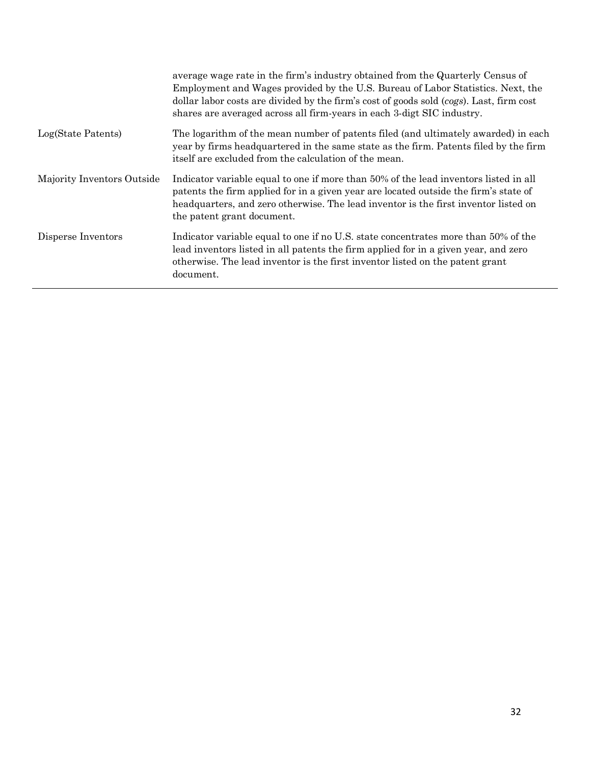|                            | average wage rate in the firm's industry obtained from the Quarterly Census of<br>Employment and Wages provided by the U.S. Bureau of Labor Statistics. Next, the<br>dollar labor costs are divided by the firm's cost of goods sold (cogs). Last, firm cost<br>shares are averaged across all firm-years in each 3-digt SIC industry. |
|----------------------------|----------------------------------------------------------------------------------------------------------------------------------------------------------------------------------------------------------------------------------------------------------------------------------------------------------------------------------------|
| Log(State Patents)         | The logarithm of the mean number of patents filed (and ultimately awarded) in each<br>year by firms headquartered in the same state as the firm. Patents filed by the firm<br>itself are excluded from the calculation of the mean.                                                                                                    |
| Majority Inventors Outside | Indicator variable equal to one if more than 50% of the lead inventors listed in all<br>patents the firm applied for in a given year are located outside the firm's state of<br>headquarters, and zero otherwise. The lead inventor is the first inventor listed on<br>the patent grant document.                                      |
| Disperse Inventors         | Indicator variable equal to one if no U.S. state concentrates more than 50% of the<br>lead inventors listed in all patents the firm applied for in a given year, and zero<br>otherwise. The lead inventor is the first inventor listed on the patent grant<br>document.                                                                |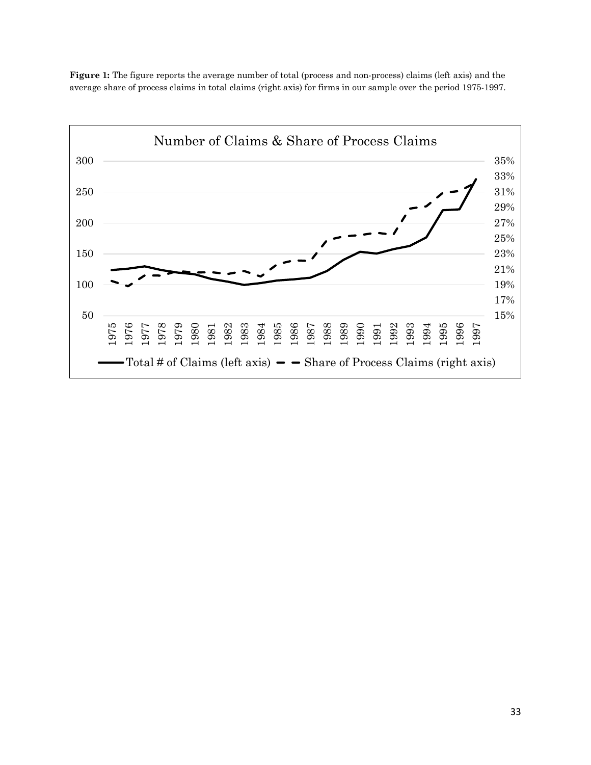**Figure 1:** The figure reports the average number of total (process and non-process) claims (left axis) and the average share of process claims in total claims (right axis) for firms in our sample over the period 1975-1997.

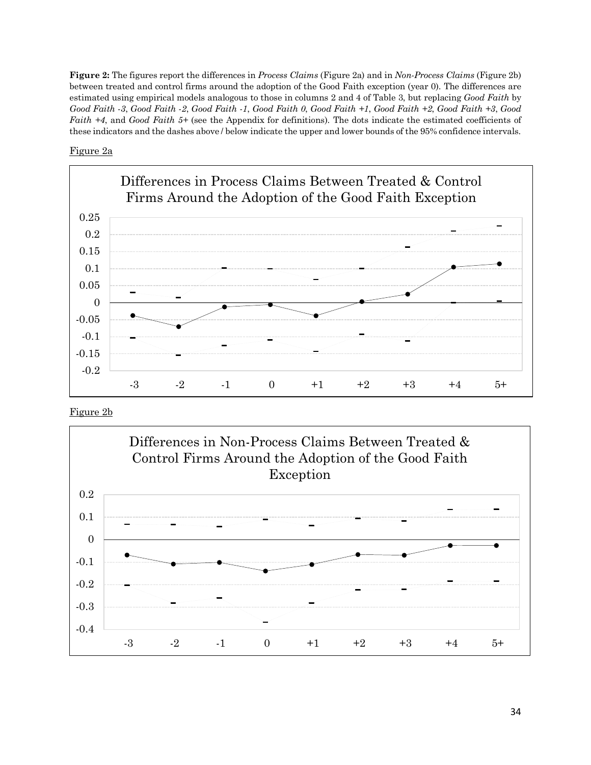**Figure 2:** The figures report the differences in *Process Claims* (Figure 2a) and in *Non-Process Claims* (Figure 2b) between treated and control firms around the adoption of the Good Faith exception (year 0). The differences are estimated using empirical models analogous to those in columns 2 and 4 of Table 3, but replacing *Good Faith* by *Good Faith -3*, *Good Faith -2*, *Good Faith -1*, *Good Faith 0*, *Good Faith +1*, *Good Faith +2*, *Good Faith +3*, *Good Faith +4*, and *Good Faith 5+* (see the Appendix for definitions). The dots indicate the estimated coefficients of these indicators and the dashes above / below indicate the upper and lower bounds of the 95% confidence intervals.

# Figure 2a



Figure 2b

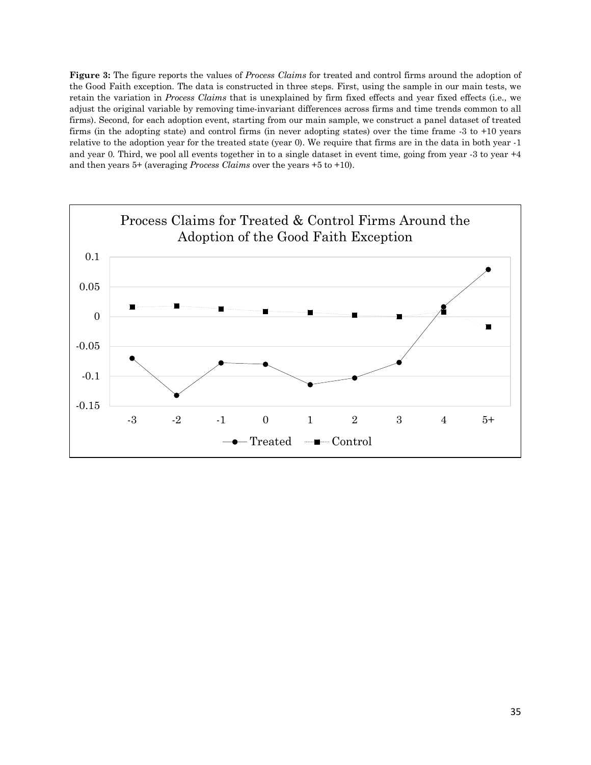**Figure 3:** The figure reports the values of *Process Claims* for treated and control firms around the adoption of the Good Faith exception. The data is constructed in three steps. First, using the sample in our main tests, we retain the variation in *Process Claims* that is unexplained by firm fixed effects and year fixed effects (i.e., we adjust the original variable by removing time-invariant differences across firms and time trends common to all firms). Second, for each adoption event, starting from our main sample, we construct a panel dataset of treated firms (in the adopting state) and control firms (in never adopting states) over the time frame -3 to +10 years relative to the adoption year for the treated state (year 0). We require that firms are in the data in both year -1 and year 0. Third, we pool all events together in to a single dataset in event time, going from year -3 to year +4 and then years 5+ (averaging *Process Claims* over the years +5 to +10).

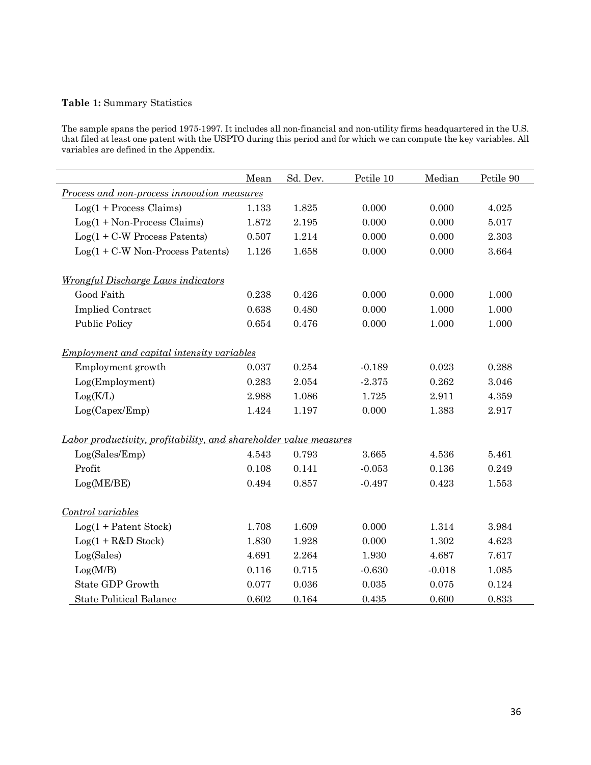# **Table 1:** Summary Statistics

The sample spans the period 1975-1997. It includes all non-financial and non-utility firms headquartered in the U.S. that filed at least one patent with the USPTO during this period and for which we can compute the key variables. All variables are defined in the Appendix.

|                                                                   | Mean  | Sd. Dev. | Pctile 10 | Median   | Pctile 90 |
|-------------------------------------------------------------------|-------|----------|-----------|----------|-----------|
| Process and non-process innovation measures                       |       |          |           |          |           |
| $Log(1 + Process \, \text{Clains})$                               | 1.133 | 1.825    | 0.000     | 0.000    | 4.025     |
| $Log(1 + Non-Process \, \text{Clains})$                           | 1.872 | 2.195    | 0.000     | 0.000    | 5.017     |
| $Log(1 + C-W$ Process Patents)                                    | 0.507 | 1.214    | 0.000     | 0.000    | 2.303     |
| $Log(1 + C-W$ Non-Process Patents)                                | 1.126 | 1.658    | 0.000     | 0.000    | 3.664     |
| <b>Wrongful Discharge Laws indicators</b>                         |       |          |           |          |           |
| Good Faith                                                        | 0.238 | 0.426    | 0.000     | 0.000    | 1.000     |
| <b>Implied Contract</b>                                           | 0.638 | 0.480    | 0.000     | 1.000    | 1.000     |
| <b>Public Policy</b>                                              | 0.654 | 0.476    | 0.000     | 1.000    | 1.000     |
| <u>Employment and capital intensity variables</u>                 |       |          |           |          |           |
| Employment growth                                                 | 0.037 | 0.254    | $-0.189$  | 0.023    | 0.288     |
| Log(Employment)                                                   | 0.283 | 2.054    | $-2.375$  | 0.262    | 3.046     |
| Log(K/L)                                                          | 2.988 | 1.086    | 1.725     | 2.911    | 4.359     |
| Log(Capex/Emp)                                                    | 1.424 | 1.197    | 0.000     | 1.383    | 2.917     |
| Labor productivity, profitability, and shareholder value measures |       |          |           |          |           |
| Log(Sales/Emp)                                                    | 4.543 | 0.793    | 3.665     | 4.536    | 5.461     |
| Profit                                                            | 0.108 | 0.141    | $-0.053$  | 0.136    | 0.249     |
| Log(ME/BE)                                                        | 0.494 | 0.857    | $-0.497$  | 0.423    | 1.553     |
| Control variables                                                 |       |          |           |          |           |
| $Log(1 + Patent Stock)$                                           | 1.708 | 1.609    | 0.000     | 1.314    | 3.984     |
| $Log(1 + R&D Stock)$                                              | 1.830 | 1.928    | 0.000     | 1.302    | 4.623     |
| Log(Sales)                                                        | 4.691 | 2.264    | 1.930     | 4.687    | 7.617     |
| Log(M/B)                                                          | 0.116 | 0.715    | $-0.630$  | $-0.018$ | 1.085     |
| State GDP Growth                                                  | 0.077 | 0.036    | 0.035     | 0.075    | 0.124     |
| <b>State Political Balance</b>                                    | 0.602 | 0.164    | 0.435     | 0.600    | 0.833     |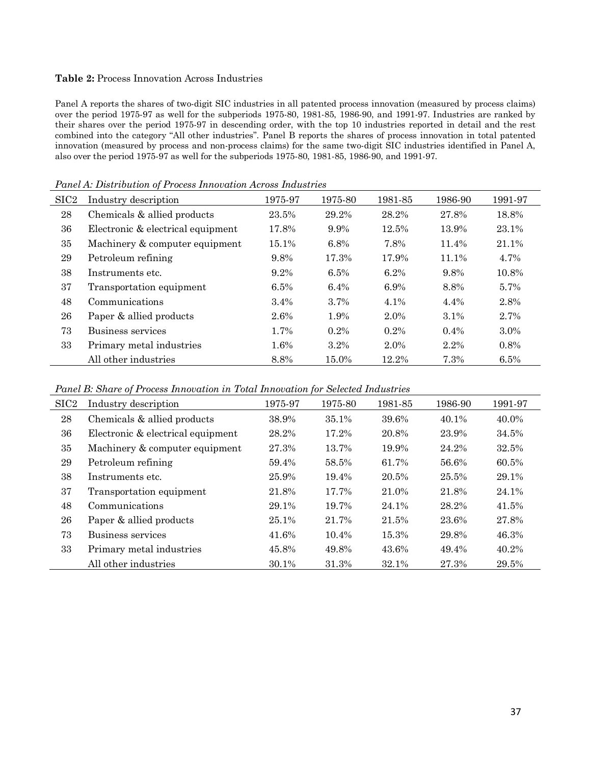### **Table 2:** Process Innovation Across Industries

Panel A reports the shares of two-digit SIC industries in all patented process innovation (measured by process claims) over the period 1975-97 as well for the subperiods 1975-80, 1981-85, 1986-90, and 1991-97. Industries are ranked by their shares over the period 1975-97 in descending order, with the top 10 industries reported in detail and the rest combined into the category "All other industries". Panel B reports the shares of process innovation in total patented innovation (measured by process and non-process claims) for the same two-digit SIC industries identified in Panel A, also over the period 1975-97 as well for the subperiods 1975-80, 1981-85, 1986-90, and 1991-97.

| SIC <sub>2</sub> | Industry description              | 1975-97 | 1975-80 | 1981-85 | 1986-90 | 1991-97 |
|------------------|-----------------------------------|---------|---------|---------|---------|---------|
| 28               | Chemicals & allied products       | 23.5%   | 29.2%   | 28.2%   | 27.8%   | 18.8%   |
| 36               | Electronic & electrical equipment | 17.8%   | 9.9%    | 12.5%   | 13.9%   | 23.1%   |
| 35               | Machinery & computer equipment    | 15.1%   | 6.8%    | 7.8%    | 11.4%   | 21.1%   |
| 29               | Petroleum refining                | 9.8%    | 17.3%   | 17.9%   | 11.1%   | 4.7%    |
| 38               | Instruments etc.                  | $9.2\%$ | 6.5%    | $6.2\%$ | 9.8%    | 10.8%   |
| 37               | Transportation equipment          | 6.5%    | 6.4%    | 6.9%    | 8.8%    | 5.7%    |
| 48               | Communications                    | 3.4%    | 3.7%    | 4.1%    | 4.4%    | 2.8%    |
| 26               | Paper & allied products           | 2.6%    | 1.9%    | 2.0%    | $3.1\%$ | 2.7%    |
| 73               | Business services                 | 1.7%    | $0.2\%$ | $0.2\%$ | $0.4\%$ | $3.0\%$ |
| 33               | Primary metal industries          | 1.6%    | $3.2\%$ | 2.0%    | 2.2%    | 0.8%    |
|                  | All other industries              | 8.8%    | 15.0%   | 12.2%   | 7.3%    | 6.5%    |

*Panel A: Distribution of Process Innovation Across Industries*

*Panel B: Share of Process Innovation in Total Innovation for Selected Industries*

| SIC <sub>2</sub> | Industry description              | 1975-97 | 1975-80 | 1981-85 | 1986-90 | 1991-97 |
|------------------|-----------------------------------|---------|---------|---------|---------|---------|
| 28               | Chemicals & allied products       | 38.9%   | 35.1%   | 39.6%   | 40.1%   | 40.0%   |
| 36               | Electronic & electrical equipment | 28.2%   | 17.2%   | 20.8%   | 23.9%   | 34.5%   |
| 35               | Machinery & computer equipment    | 27.3%   | 13.7%   | 19.9%   | 24.2%   | 32.5%   |
| 29               | Petroleum refining                | 59.4%   | 58.5%   | 61.7%   | 56.6%   | 60.5%   |
| 38               | Instruments etc.                  | 25.9%   | 19.4%   | 20.5%   | 25.5%   | 29.1%   |
| 37               | Transportation equipment          | 21.8%   | 17.7%   | 21.0%   | 21.8%   | 24.1%   |
| 48               | Communications                    | 29.1%   | 19.7%   | 24.1%   | 28.2%   | 41.5%   |
| 26               | Paper & allied products           | 25.1%   | 21.7%   | 21.5%   | 23.6%   | 27.8%   |
| 73               | Business services                 | 41.6%   | 10.4%   | 15.3%   | 29.8%   | 46.3%   |
| 33               | Primary metal industries          | 45.8%   | 49.8%   | 43.6%   | 49.4%   | 40.2%   |
|                  | All other industries              | 30.1%   | 31.3%   | 32.1%   | 27.3%   | 29.5%   |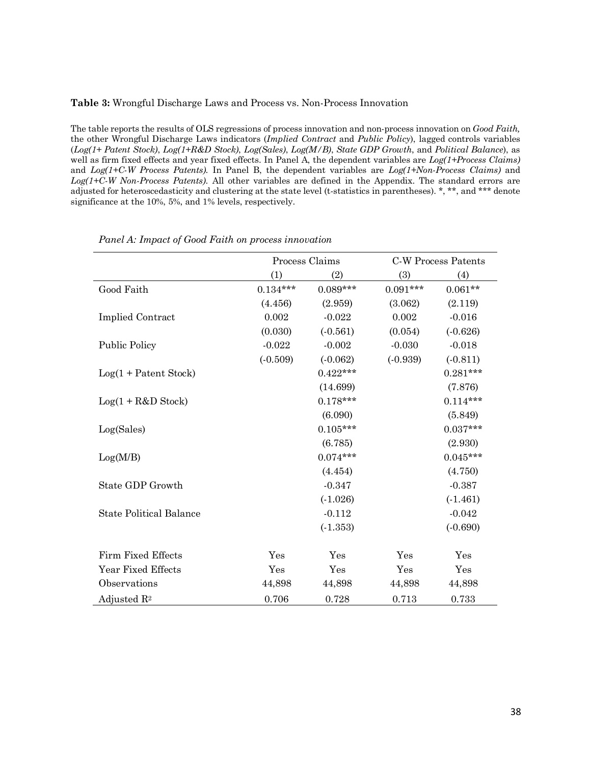### **Table 3:** Wrongful Discharge Laws and Process vs. Non-Process Innovation

The table reports the results of OLS regressions of process innovation and non-process innovation on *Good Faith,*  the other Wrongful Discharge Laws indicators (*Implied Contract* and *Public Policy*), lagged controls variables (*Log(1+ Patent Stock)*, *Log(1+R&D Stock)*, *Log(Sales)*, *Log(M/B)*, *State GDP Growth*, and *Political Balance*), as well as firm fixed effects and year fixed effects. In Panel A, the dependent variables are *Log(1+Process Claims)* and *Log(1+C-W Process Patents).* In Panel B, the dependent variables are *Log(1+Non-Process Claims)* and *Log(1+C-W Non-Process Patents)*. All other variables are defined in the Appendix. The standard errors are adjusted for heteroscedasticity and clustering at the state level (t-statistics in parentheses). \*, \*\*, and \*\*\* denote significance at the 10%, 5%, and 1% levels, respectively.

|                                | Process Claims |            |            | C-W Process Patents |
|--------------------------------|----------------|------------|------------|---------------------|
|                                | (1)            | (2)        | (3)        | (4)                 |
| Good Faith                     | $0.134***$     | $0.089***$ | $0.091***$ | $0.061**$           |
|                                | (4.456)        | (2.959)    | (3.062)    | (2.119)             |
| <b>Implied Contract</b>        | 0.002          | $-0.022$   | 0.002      | $-0.016$            |
|                                | (0.030)        | $(-0.561)$ | (0.054)    | $(-0.626)$          |
| <b>Public Policy</b>           | $-0.022$       | $-0.002$   | $-0.030$   | $-0.018$            |
|                                | $(-0.509)$     | $(-0.062)$ | $(-0.939)$ | $(-0.811)$          |
| $Log(1 + Patent Stock)$        |                | $0.422***$ |            | $0.281***$          |
|                                |                | (14.699)   |            | (7.876)             |
| $Log(1 + R&D Stock)$           |                | $0.178***$ |            | $0.114***$          |
|                                |                | (6.090)    |            | (5.849)             |
| Log(Sales)                     |                | $0.105***$ |            | $0.037***$          |
|                                |                | (6.785)    |            | (2.930)             |
| Log(M/B)                       |                | $0.074***$ |            | $0.045***$          |
|                                |                | (4.454)    |            | (4.750)             |
| State GDP Growth               |                | $-0.347$   |            | $-0.387$            |
|                                |                | $(-1.026)$ |            | (.1.461)            |
| <b>State Political Balance</b> |                | $-0.112$   |            | $-0.042$            |
|                                |                | $(-1.353)$ |            | (.0.690)            |
| Firm Fixed Effects             | Yes            | Yes        | Yes        | Yes                 |
| Year Fixed Effects             | Yes            | Yes        | Yes        | Yes                 |
| Observations                   | 44,898         | 44,898     | 44,898     | 44,898              |
| Adjusted $\mathbb{R}^2$        | 0.706          | 0.728      | 0.713      | 0.733               |

#### *Panel A: Impact of Good Faith on process innovation*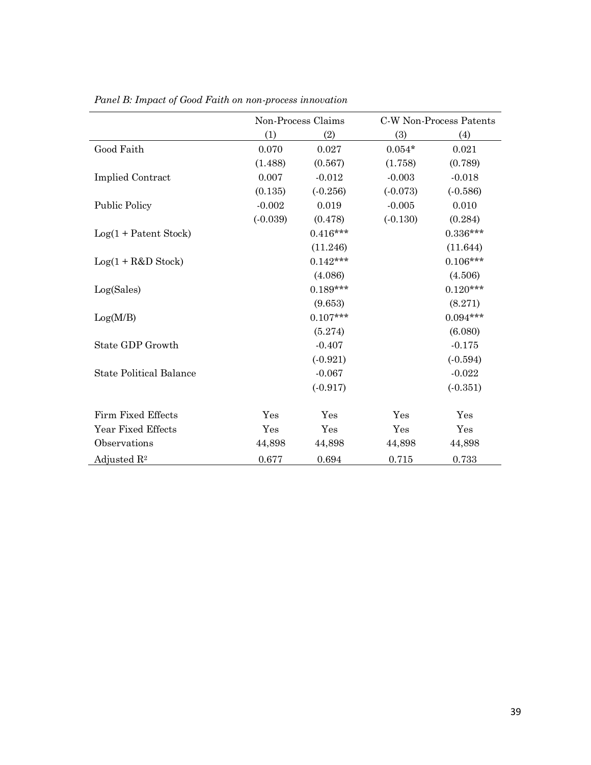|                                |            | Non-Process Claims |            | C-W Non-Process Patents |
|--------------------------------|------------|--------------------|------------|-------------------------|
|                                | (1)        | (2)                | (3)        | (4)                     |
| Good Faith                     | 0.070      | 0.027              | $0.054*$   | 0.021                   |
|                                | (1.488)    | (0.567)            | (1.758)    | (0.789)                 |
| <b>Implied Contract</b>        | 0.007      | $-0.012$           | $-0.003$   | $-0.018$                |
|                                | (0.135)    | $(-0.256)$         | $(-0.073)$ | $(-0.586)$              |
| <b>Public Policy</b>           | $-0.002$   | 0.019              | $-0.005$   | 0.010                   |
|                                | $(-0.039)$ | (0.478)            | $(-0.130)$ | (0.284)                 |
| $Log(1 + Patent Stock)$        |            | $0.416***$         |            | $0.336***$              |
|                                |            | (11.246)           |            | (11.644)                |
| $Log(1 + R&D Stock)$           |            | $0.142***$         |            | $0.106***$              |
|                                |            | (4.086)            |            | (4.506)                 |
| Log(Sales)                     |            | $0.189***$         |            | $0.120***$              |
|                                |            | (9.653)            |            | (8.271)                 |
| Log(M/B)                       |            | $0.107***$         |            | $0.094***$              |
|                                |            | (5.274)            |            | (6.080)                 |
| State GDP Growth               |            | $-0.407$           |            | $-0.175$                |
|                                |            | $(-0.921)$         |            | $(-0.594)$              |
| <b>State Political Balance</b> |            | $-0.067$           |            | $-0.022$                |
|                                |            | (.0.917)           |            | $(-0.351)$              |
| Firm Fixed Effects             | Yes        | Yes                | Yes        | Yes                     |
| Year Fixed Effects             | Yes        | Yes                | Yes        | Yes                     |
| Observations                   | 44,898     | 44,898             | 44,898     | 44,898                  |
| Adjusted $\mathbb{R}^2$        | 0.677      | 0.694              | 0.715      | 0.733                   |

*Panel B: Impact of Good Faith on non-process innovation*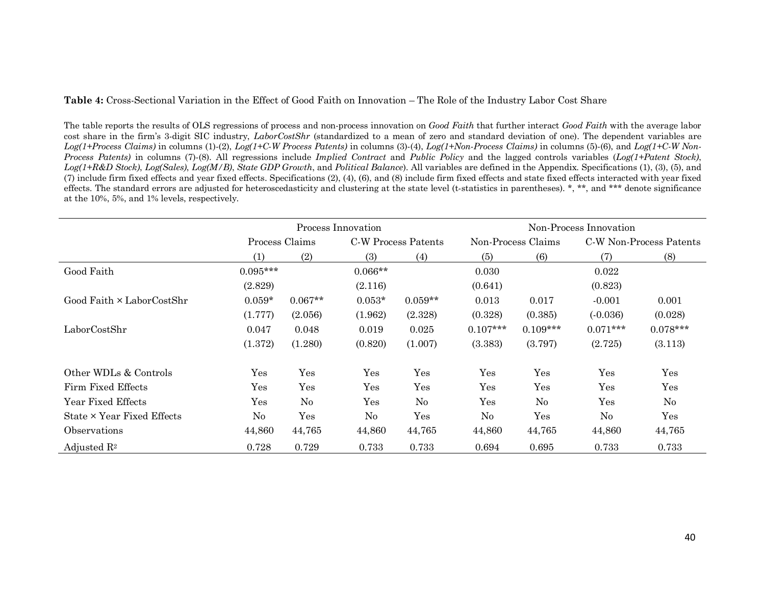**Table 4:** Cross-Sectional Variation in the Effect of Good Faith on Innovation – The Role of the Industry Labor Cost Share

The table reports the results of OLS regressions of process and non-process innovation on *Good Faith* that further interact *Good Faith* with the average labor cost share in the firm's 3-digit SIC industry, *LaborCostShr* (standardized to a mean of zero and standard deviation of one). The dependent variables are *Log(1+Process Claims)* in columns (1)-(2), *Log(1+C-W Process Patents)* in columns (3)-(4), *Log(1+Non-Process Claims)* in columns (5)-(6), and *Log(1+C-W Non-Process Patents)* in columns (7)-(8). All regressions include *Implied Contract* and *Public Policy* and the lagged controls variables (*Log(1+Patent Stock)*, *Log(1+R&D Stock)*, *Log(Sales)*, *Log(M/B)*, *State GDP Growth*, and *Political Balance*). All variables are defined in the Appendix. Specifications (1), (3), (5), and (7) include firm fixed effects and year fixed effects. Specifications (2), (4), (6), and (8) include firm fixed effects and state fixed effects interacted with year fixed effects. The standard errors are adjusted for heteroscedasticity and clustering at the state level (t-statistics in parentheses).  $*, **$ , and  $***$  denote significance at the 10%, 5%, and 1% levels, respectively.

|                                  | Process Innovation |                                       |           | Non-Process Innovation |                      |                         |            |            |
|----------------------------------|--------------------|---------------------------------------|-----------|------------------------|----------------------|-------------------------|------------|------------|
|                                  |                    | Process Claims<br>C-W Process Patents |           | Non-Process Claims     |                      | C-W Non-Process Patents |            |            |
|                                  | (1)                | (2)                                   | (3)       | (4)                    | (5)                  | (6)                     | (7)        | (8)        |
| Good Faith                       | $0.095***$         |                                       | $0.066**$ |                        | 0.030                |                         | 0.022      |            |
|                                  | (2.829)            |                                       | (2.116)   |                        | (0.641)              |                         | (0.823)    |            |
| Good Faith $\times$ LaborCostShr | $0.059*$           | $0.067**$                             | $0.053*$  | $0.059**$              | 0.013                | 0.017                   | $-0.001$   | 0.001      |
|                                  | (1.777)            | (2.056)                               | (1.962)   | (2.328)                | (0.328)              | (0.385)                 | $(-0.036)$ | (0.028)    |
| LaborCostShr                     | 0.047              | 0.048                                 | 0.019     | 0.025                  | $0.107***$           | $0.109***$              | $0.071***$ | $0.078***$ |
|                                  | (1.372)            | (1.280)                               | (0.820)   | (1.007)                | (3.383)              | (3.797)                 | (2.725)    | (3.113)    |
| Other WDLs & Controls            | Yes                | Yes                                   | Yes       | Yes                    | Yes                  | Yes                     | Yes        | Yes        |
| Firm Fixed Effects               | Yes                | Yes                                   | Yes       | Yes                    | $\operatorname{Yes}$ | Yes                     | Yes        | Yes        |
| Year Fixed Effects               | Yes                | N <sub>o</sub>                        | Yes       | No                     | Yes                  | $\rm No$                | Yes        | $\rm No$   |
| State × Year Fixed Effects       | No                 | Yes                                   | No        | Yes                    | No                   | Yes                     | $\rm No$   | Yes        |
| Observations                     | 44,860             | 44,765                                | 44,860    | 44,765                 | 44,860               | 44,765                  | 44,860     | 44,765     |
| Adjusted $\mathbb{R}^2$          | 0.728              | 0.729                                 | 0.733     | 0.733                  | 0.694                | 0.695                   | 0.733      | 0.733      |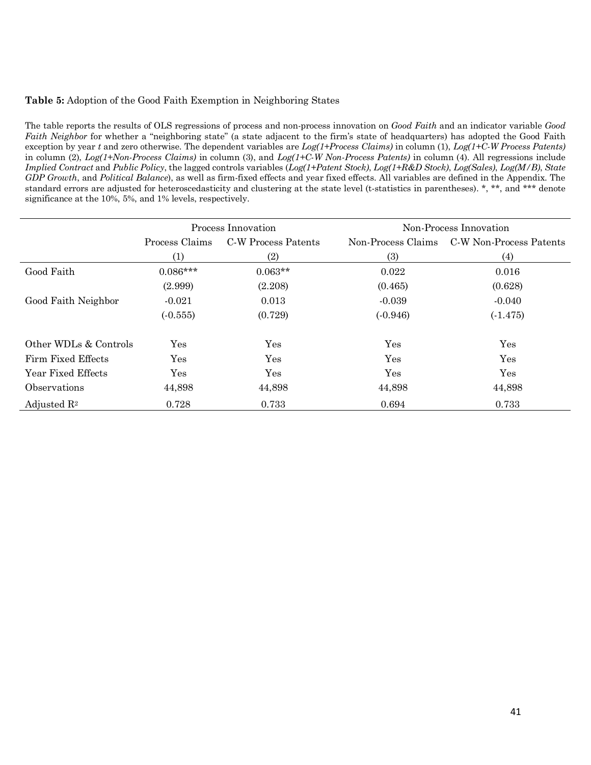# **Table 5:** Adoption of the Good Faith Exemption in Neighboring States

The table reports the results of OLS regressions of process and non-process innovation on *Good Faith* and an indicator variable *Good Faith Neighbor* for whether a "neighboring state" (a state adjacent to the firm's state of headquarters) has adopted the Good Faith exception by year *t* and zero otherwise. The dependent variables are *Log(1+Process Claims)* in column (1), *Log(1+C-W Process Patents)* in column (2), *Log(1+Non-Process Claims)* in column (3), and *Log(1+C-W Non-Process Patents)* in column (4). All regressions include *Implied Contract* and *Public Policy*, the lagged controls variables (*Log(1+Patent Stock)*, *Log(1+R&D Stock)*, *Log(Sales)*, *Log(M/B)*, *State GDP Growth*, and *Political Balance*), as well as firm-fixed effects and year fixed effects. All variables are defined in the Appendix. The standard errors are adjusted for heteroscedasticity and clustering at the state level (t-statistics in parentheses). \*, \*\*, and \*\*\* denote significance at the 10%, 5%, and 1% levels, respectively.

|                         |                | Process Innovation  | Non-Process Innovation |                         |  |
|-------------------------|----------------|---------------------|------------------------|-------------------------|--|
|                         | Process Claims | C-W Process Patents | Non-Process Claims     | C-W Non-Process Patents |  |
|                         | (1)            | (2)                 | (3)                    | (4)                     |  |
| Good Faith              | $0.086***$     | $0.063**$           | 0.022                  | 0.016                   |  |
|                         | (2.999)        | (2.208)             | (0.465)                | (0.628)                 |  |
| Good Faith Neighbor     | $-0.021$       | 0.013               | $-0.039$               | $-0.040$                |  |
|                         | $(-0.555)$     | (0.729)             | $(-0.946)$             | $(-1.475)$              |  |
| Other WDLs & Controls   | Yes            | Yes                 | Yes                    | Yes                     |  |
| Firm Fixed Effects      | Yes            | Yes                 | Yes                    | Yes                     |  |
| Year Fixed Effects      | Yes            | Yes                 | Yes                    | Yes                     |  |
| Observations            | 44,898         | 44,898              | 44,898                 | 44,898                  |  |
| Adjusted $\mathbb{R}^2$ | 0.728          | 0.733               | 0.694                  | 0.733                   |  |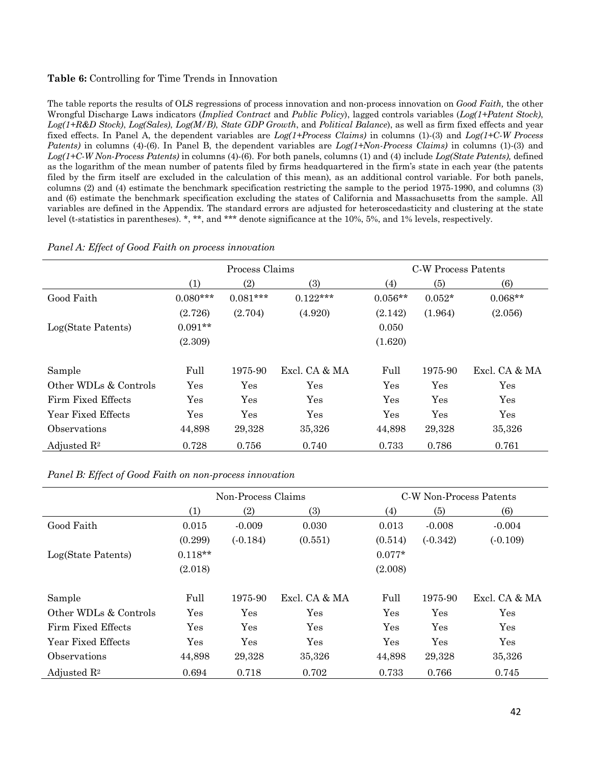# **Table 6:** Controlling for Time Trends in Innovation

The table reports the results of OLS regressions of process innovation and non-process innovation on *Good Faith,* the other Wrongful Discharge Laws indicators (*Implied Contract* and *Public Policy*), lagged controls variables (*Log(1+Patent Stock)*, *Log(1+R&D Stock)*, *Log(Sales)*, *Log(M/B)*, *State GDP Growth*, and *Political Balance*), as well as firm fixed effects and year fixed effects. In Panel A, the dependent variables are *Log(1+Process Claims)* in columns (1)-(3) and *Log(1+C-W Process Patents)* in columns (4)-(6). In Panel B, the dependent variables are *Log(1+Non-Process Claims)* in columns (1)-(3) and *Log(1+C-W Non-Process Patents)* in columns (4)-(6). For both panels, columns (1) and (4) include *Log(State Patents),* defined as the logarithm of the mean number of patents filed by firms headquartered in the firm's state in each year (the patents filed by the firm itself are excluded in the calculation of this mean), as an additional control variable. For both panels, columns (2) and (4) estimate the benchmark specification restricting the sample to the period 1975-1990, and columns (3) and (6) estimate the benchmark specification excluding the states of California and Massachusetts from the sample. All variables are defined in the Appendix. The standard errors are adjusted for heteroscedasticity and clustering at the state level (t-statistics in parentheses). \*, \*\*, and \*\*\* denote significance at the 10%, 5%, and 1% levels, respectively.

|                         |                   | Process Claims |                      |            | C-W Process Patents |               |
|-------------------------|-------------------|----------------|----------------------|------------|---------------------|---------------|
|                         | $\left(1\right)$  | (2)            | (3)                  | (4)        | (5)                 | (6)           |
| Good Faith              | $0.080***$        | $0.081***$     | $0.122***$           | $0.056**$  | $0.052*$            | $0.068**$     |
|                         | (2.726)           | (2.704)        | (4.920)              | (2.142)    | (1.964)             | (2.056)       |
| Log(State Patents)      | $0.091**$         |                |                      | 0.050      |                     |               |
|                         | (2.309)           |                |                      | (1.620)    |                     |               |
| Sample                  | Full              | 1975-90        | Excl. CA & MA        | Full       | 1975-90             | Excl. CA & MA |
| Other WDLs & Controls   | Yes               | Yes            | Yes                  | Yes        | Yes                 | Yes           |
| Firm Fixed Effects      | $\gamma_{\rm es}$ | Yes            | $\operatorname{Yes}$ | Yes        | Yes                 | Yes           |
| Year Fixed Effects      | Yes               | Yes            | Yes                  | <b>Yes</b> | Yes                 | <b>Yes</b>    |
| Observations            | 44,898            | 29,328         | 35,326               | 44,898     | 29,328              | 35,326        |
| Adjusted $\mathbb{R}^2$ | 0.728             | 0.756          | 0.740                | 0.733      | 0.786               | 0.761         |

### *Panel A: Effect of Good Faith on process innovation*

*Panel B: Effect of Good Faith on non-process innovation*

|                         |                      | Non-Process Claims |               |          |            | C-W Non-Process Patents |  |
|-------------------------|----------------------|--------------------|---------------|----------|------------|-------------------------|--|
|                         | (1)                  | $\left( 2\right)$  | (3)           | (4)      | (5)        | (6)                     |  |
| Good Faith              | 0.015                | $-0.009$           | 0.030         | 0.013    | $-0.008$   | $-0.004$                |  |
|                         | (0.299)              | $(-0.184)$         | (0.551)       | (0.514)  | $(-0.342)$ | $(-0.109)$              |  |
| Log(State Patents)      | $0.118**$            |                    |               | $0.077*$ |            |                         |  |
|                         | (2.018)              |                    |               | (2.008)  |            |                         |  |
| Sample                  | Full                 | 1975-90            | Excl. CA & MA | Full     | 1975-90    | Excl. CA & MA           |  |
| Other WDLs & Controls   | Yes                  | Yes                | Yes           | Yes      | Yes        | Yes                     |  |
| Firm Fixed Effects      | $\operatorname{Yes}$ | Yes                | Yes           | Yes      | Yes        | Yes                     |  |
| Year Fixed Effects      | $\operatorname{Yes}$ | Yes                | Yes           | Yes      | Yes        | Yes                     |  |
| Observations            | 44,898               | 29,328             | 35,326        | 44,898   | 29,328     | 35,326                  |  |
| Adjusted $\mathbb{R}^2$ | 0.694                | 0.718              | 0.702         | 0.733    | 0.766      | 0.745                   |  |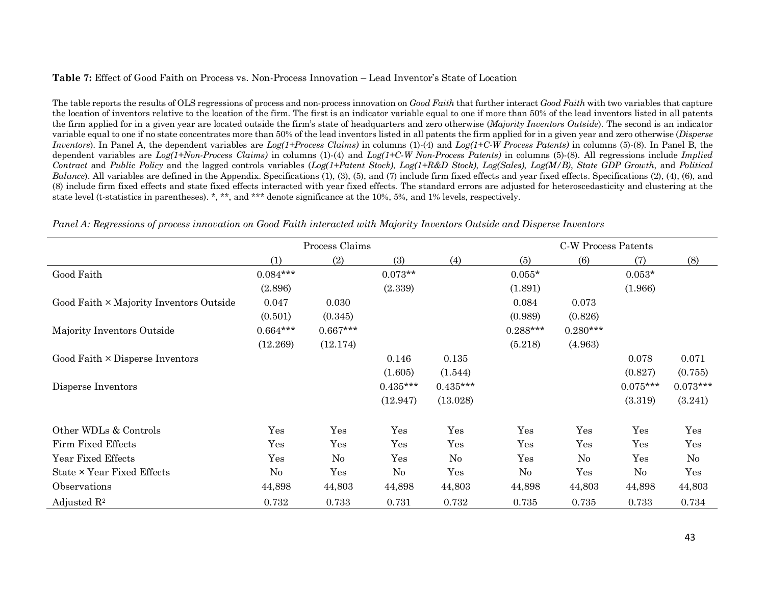# **Table 7:** Effect of Good Faith on Process vs. Non-Process Innovation – Lead Inventor's State of Location

The table reports the results of OLS regressions of process and non-process innovation on *Good Faith* that further interact *Good Faith* with two variables that capture the location of inventors relative to the location of the firm. The first is an indicator variable equal to one if more than 50% of the lead inventors listed in all patents the firm applied for in a given year are located outside the firm's state of headquarters and zero otherwise (*Majority Inventors Outside*). The second is an indicator variable equal to one if no state concentrates more than 50% of the lead inventors listed in all patents the firm applied for in a given year and zero otherwise (*Disperse Inventors*). In Panel A, the dependent variables are *Log(1+Process Claims)* in columns (1)-(4) and *Log(1+C-W Process Patents)* in columns (5)-(8). In Panel B, the dependent variables are *Log(1+Non-Process Claims)* in columns (1)-(4) and *Log(1+C-W Non-Process Patents)* in columns (5)-(8). All regressions include *Implied Contract* and *Public Policy* and the lagged controls variables (*Log(1+Patent Stock)*, *Log(1+R&D Stock)*, *Log(Sales)*, *Log(M/B)*, *State GDP Growth*, and *Political Balance*). All variables are defined in the Appendix. Specifications (1), (3), (5), and (7) include firm fixed effects and year fixed effects. Specifications (2), (4), (6), and (8) include firm fixed effects and state fixed effects interacted with year fixed effects. The standard errors are adjusted for heteroscedasticity and clustering at the state level (t-statistics in parentheses). \*, \*\*, and \*\*\* denote significance at the 10%, 5%, and 1% levels, respectively.

|                                         | Process Claims |            |            |            | <b>C-W Process Patents</b> |            |            |            |
|-----------------------------------------|----------------|------------|------------|------------|----------------------------|------------|------------|------------|
|                                         | (1)            | (2)        | (3)        | (4)        | (5)                        | (6)        | (7)        | (8)        |
| Good Faith                              | $0.084***$     |            | $0.073**$  |            | $0.055*$                   |            | $0.053*$   |            |
|                                         | (2.896)        |            | (2.339)    |            | (1.891)                    |            | (1.966)    |            |
| Good Faith × Majority Inventors Outside | 0.047          | 0.030      |            |            | 0.084                      | 0.073      |            |            |
|                                         | (0.501)        | (0.345)    |            |            | (0.989)                    | (0.826)    |            |            |
| Majority Inventors Outside              | $0.664***$     | $0.667***$ |            |            | $0.288***$                 | $0.280***$ |            |            |
|                                         | (12.269)       | (12.174)   |            |            | (5.218)                    | (4.963)    |            |            |
| Good Faith $\times$ Disperse Inventors  |                |            | 0.146      | 0.135      |                            |            | 0.078      | 0.071      |
|                                         |                |            | (1.605)    | (1.544)    |                            |            | (0.827)    | (0.755)    |
| Disperse Inventors                      |                |            | $0.435***$ | $0.435***$ |                            |            | $0.075***$ | $0.073***$ |
|                                         |                |            | (12.947)   | (13.028)   |                            |            | (3.319)    | (3.241)    |
| Other WDLs & Controls                   | Yes            | Yes        | Yes        | Yes        | Yes                        | Yes        | Yes        | Yes        |
| Firm Fixed Effects                      | Yes            | Yes        | Yes        | Yes        | Yes                        | Yes        | Yes        | Yes        |
| Year Fixed Effects                      | Yes            | $\rm No$   | Yes        | $\rm No$   | Yes                        | $\rm No$   | Yes        | $\rm No$   |
| State × Year Fixed Effects              | $\rm No$       | Yes        | $\rm No$   | Yes        | $\rm No$                   | Yes        | $\rm No$   | Yes        |
| Observations                            | 44,898         | 44,803     | 44,898     | 44,803     | 44,898                     | 44,803     | 44,898     | 44,803     |
| Adjusted $\mathbb{R}^2$                 | 0.732          | 0.733      | 0.731      | 0.732      | 0.735                      | 0.735      | 0.733      | 0.734      |

*Panel A: Regressions of process innovation on Good Faith interacted with Majority Inventors Outside and Disperse Inventors*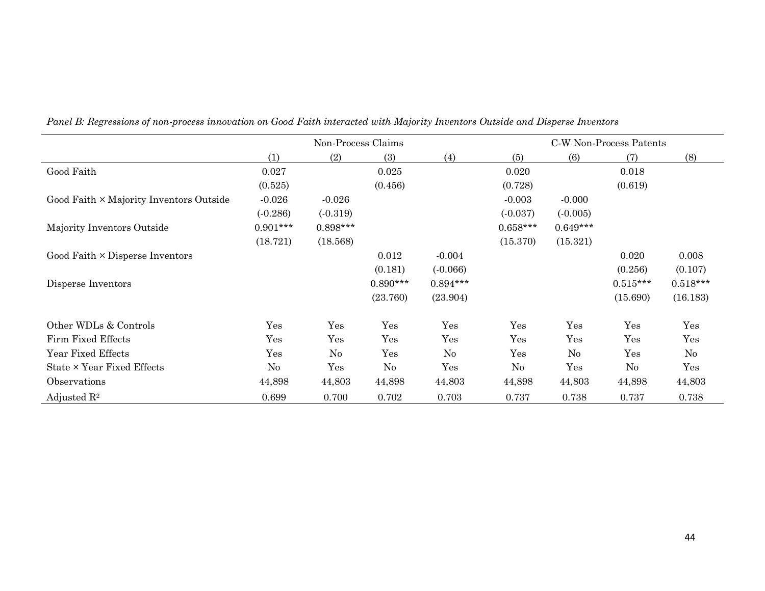|                                         | Non-Process Claims |            |            |            |            | C-W Non-Process Patents |            |            |  |
|-----------------------------------------|--------------------|------------|------------|------------|------------|-------------------------|------------|------------|--|
|                                         | (1)                | (2)        | (3)        | (4)        | (5)        | (6)                     | (7)        | (8)        |  |
| Good Faith                              | 0.027              |            | 0.025      |            | 0.020      |                         | 0.018      |            |  |
|                                         | (0.525)            |            | (0.456)    |            | (0.728)    |                         | (0.619)    |            |  |
| Good Faith × Majority Inventors Outside | $-0.026$           | $-0.026$   |            |            | $-0.003$   | $-0.000$                |            |            |  |
|                                         | $(-0.286)$         | $(-0.319)$ |            |            | $(-0.037)$ | $(-0.005)$              |            |            |  |
| Majority Inventors Outside              | $0.901***$         | $0.898***$ |            |            | $0.658***$ | $0.649***$              |            |            |  |
|                                         | (18.721)           | (18.568)   |            |            | (15.370)   | (15.321)                |            |            |  |
| Good Faith $\times$ Disperse Inventors  |                    |            | 0.012      | $-0.004$   |            |                         | 0.020      | 0.008      |  |
|                                         |                    |            | (0.181)    | $(-0.066)$ |            |                         | (0.256)    | (0.107)    |  |
| Disperse Inventors                      |                    |            | $0.890***$ | $0.894***$ |            |                         | $0.515***$ | $0.518***$ |  |
|                                         |                    |            | (23.760)   | (23.904)   |            |                         | (15.690)   | (16.183)   |  |
| Other WDLs & Controls                   | Yes                | Yes        | Yes        | Yes        | Yes        | Yes                     | Yes        | Yes        |  |
| Firm Fixed Effects                      | Yes                | Yes        | Yes        | Yes        | Yes        | Yes                     | Yes        | Yes        |  |
| Year Fixed Effects                      | Yes                | $\rm No$   | Yes        | No         | Yes        | $\rm No$                | Yes        | $\rm No$   |  |
| State × Year Fixed Effects              | $\rm No$           | Yes        | $\rm No$   | Yes        | No         | Yes                     | $\rm No$   | Yes        |  |
| Observations                            | 44,898             | 44,803     | 44,898     | 44,803     | 44,898     | 44,803                  | 44,898     | 44,803     |  |
| Adjusted $\mathbb{R}^2$                 | 0.699              | 0.700      | 0.702      | 0.703      | 0.737      | 0.738                   | 0.737      | 0.738      |  |

*Panel B: Regressions of non-process innovation on Good Faith interacted with Majority Inventors Outside and Disperse Inventors*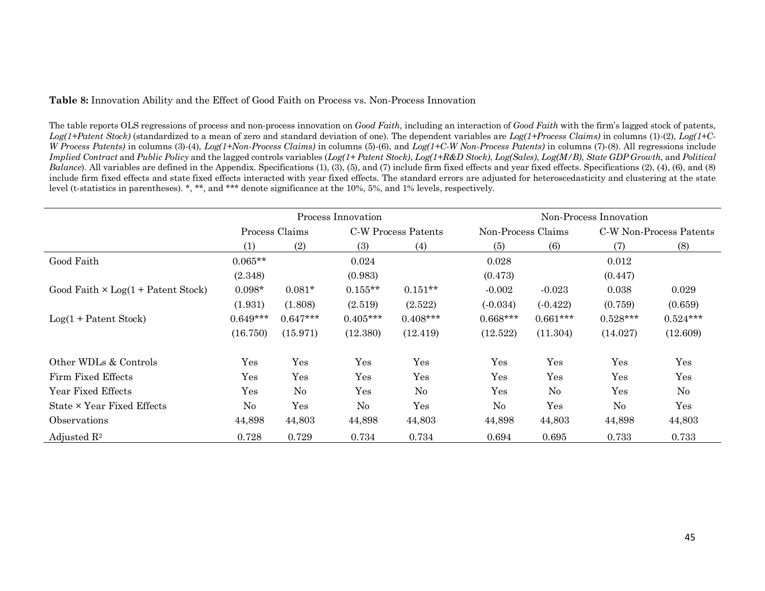# **Table 8:** Innovation Ability and the Effect of Good Faith on Process vs. Non-Process Innovation

The table reports OLS regressions of process and non-process innovation on *Good Faith,* including an interaction of *Good Faith* with the firm's lagged stock of patents, *Log(1+Patent Stock)* (standardized to a mean of zero and standard deviation of one). The dependent variables are *Log(1+Process Claims)* in columns (1)-(2), *Log(1+C-W Process Patents)* in columns (3)-(4), *Log(1+Non-Process Claims)* in columns (5)-(6), and *Log(1+C-W Non-Process Patents)* in columns (7)-(8). All regressions include *Implied Contract* and *Public Policy* and the lagged controls variables (*Log(1+ Patent Stock)*, *Log(1+R&D Stock)*, *Log(Sales)*, *Log(M/B)*, *State GDP Growth*, and *Political Balance*). All variables are defined in the Appendix. Specifications (1), (3), (5), and (7) include firm fixed effects and year fixed effects. Specifications (2), (4), (6), and (8) include firm fixed effects and state fixed effects interacted with year fixed effects. The standard errors are adjusted for heteroscedasticity and clustering at the state level (t-statistics in parentheses). \*, \*\*, and \*\*\* denote significance at the 10%, 5%, and 1% levels, respectively.

|                                           |                      |            | Process Innovation  |            | Non-Process Innovation |            |                         |            |  |  |
|-------------------------------------------|----------------------|------------|---------------------|------------|------------------------|------------|-------------------------|------------|--|--|
|                                           | Process Claims       |            | C-W Process Patents |            | Non-Process Claims     |            | C-W Non-Process Patents |            |  |  |
|                                           | (1)                  | (2)        | (3)                 | (4)        | (5)                    | (6)        | (7)                     | (8)        |  |  |
| Good Faith                                | $0.065**$            |            | 0.024               |            | 0.028                  |            | 0.012                   |            |  |  |
|                                           | (2.348)              |            | (0.983)             |            | (0.473)                |            | (0.447)                 |            |  |  |
| Good Faith $\times$ Log(1 + Patent Stock) | $0.098*$             | $0.081*$   | $0.155**$           | $0.151**$  | $-0.002$               | $-0.023$   | 0.038                   | 0.029      |  |  |
|                                           | (1.931)              | (1.808)    | (2.519)             | (2.522)    | $(-0.034)$             | $(-0.422)$ | (0.759)                 | (0.659)    |  |  |
| $Log(1 + Patent Stock)$                   | $0.649***$           | $0.647***$ | $0.405***$          | $0.408***$ | $0.668***$             | $0.661***$ | $0.528***$              | $0.524***$ |  |  |
|                                           | (16.750)             | (15.971)   | (12.380)            | (12.419)   | (12.522)               | (11.304)   | (14.027)                | (12.609)   |  |  |
| Other WDLs & Controls                     | Yes                  | Yes        | Yes                 | Yes        | Yes                    | Yes        | Yes                     | Yes        |  |  |
| Firm Fixed Effects                        | Yes                  | Yes        | Yes                 | Yes        | Yes                    | Yes        | Yes                     | Yes        |  |  |
| Year Fixed Effects                        | $\operatorname{Yes}$ | No         | Yes                 | $\rm No$   | Yes                    | $\rm No$   | Yes                     | $\rm No$   |  |  |
| State × Year Fixed Effects                | $\rm No$             | Yes        | No                  | Yes        | No                     | Yes        | $\rm No$                | Yes        |  |  |
| <i><b>Observations</b></i>                | 44,898               | 44,803     | 44,898              | 44,803     | 44,898                 | 44,803     | 44,898                  | 44,803     |  |  |
| Adjusted $\mathbb{R}^2$                   | 0.728                | 0.729      | 0.734               | 0.734      | 0.694                  | 0.695      | 0.733                   | 0.733      |  |  |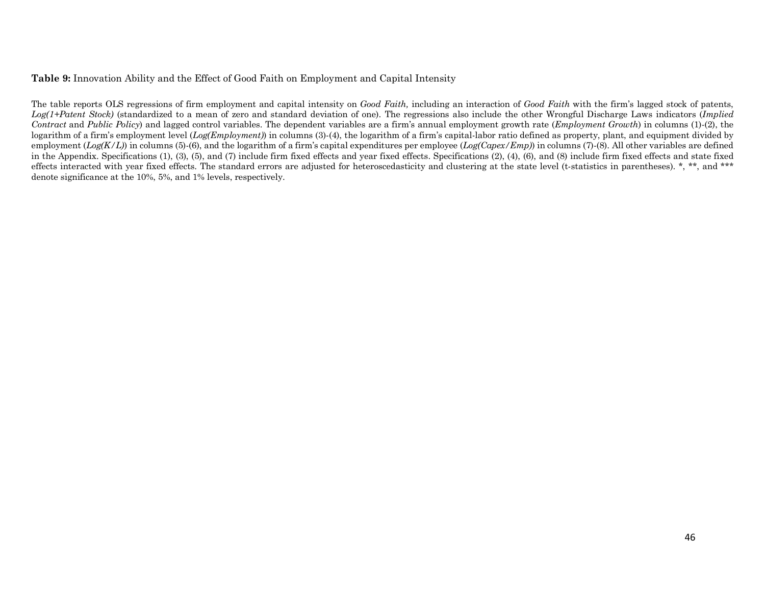## **Table 9:** Innovation Ability and the Effect of Good Faith on Employment and Capital Intensity

The table reports OLS regressions of firm employment and capital intensity on *Good Faith,* including an interaction of *Good Faith* with the firm's lagged stock of patents, *Log(1+Patent Stock)* (standardized to a mean of zero and standard deviation of one). The regressions also include the other Wrongful Discharge Laws indicators (*Implied Contract* and *Public Policy*) and lagged control variables. The dependent variables are a firm's annual employment growth rate (*Employment Growth*) in columns (1)-(2), the logarithm of a firm's employment level (*Log(Employment*)) in columns (3)-(4), the logarithm of a firm's capital-labor ratio defined as property, plant, and equipment divided by employment (*Log(K/L)*) in columns (5)-(6), and the logarithm of a firm's capital expenditures per employee (*Log(Capex/Emp)*) in columns (7)-(8). All other variables are defined in the Appendix. Specifications (1), (3), (5), and (7) include firm fixed effects and year fixed effects. Specifications (2), (4), (6), and (8) include firm fixed effects and state fixed effects interacted with year fixed effects. The standard errors are adjusted for heteroscedasticity and clustering at the state level (t-statistics in parentheses). \*, \*\*, and \*\*\* denote significance at the 10%, 5%, and 1% levels, respectively.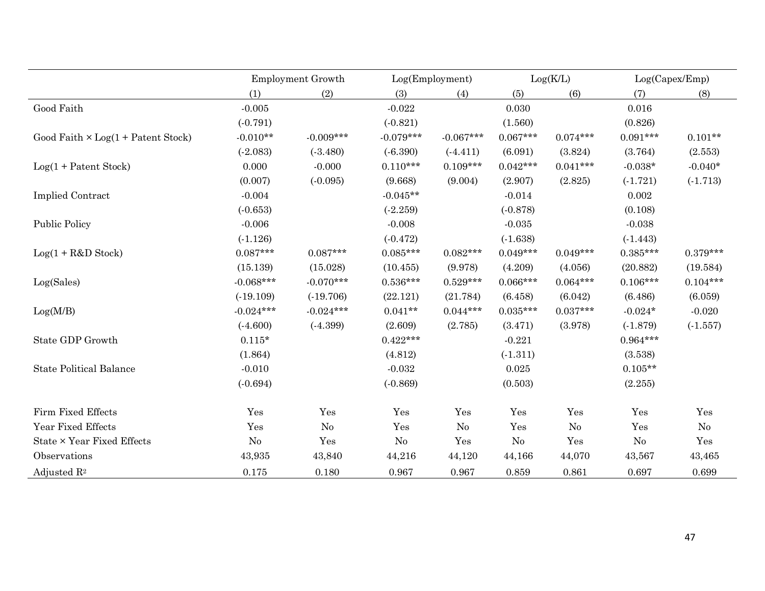|                                           | Employment Growth |             |             | Log(Employment) |            | Log(K/L)   |            | Log(Capex/Emp) |
|-------------------------------------------|-------------------|-------------|-------------|-----------------|------------|------------|------------|----------------|
|                                           | (1)               | (2)         | (3)         | (4)             | (5)        | (6)        | (7)        | (8)            |
| Good Faith                                | $-0.005$          |             | $-0.022$    |                 | 0.030      |            | 0.016      |                |
|                                           | $(-0.791)$        |             | $(-0.821)$  |                 | (1.560)    |            | (0.826)    |                |
| Good Faith $\times$ Log(1 + Patent Stock) | $-0.010**$        | $-0.009***$ | $-0.079***$ | $-0.067***$     | $0.067***$ | $0.074***$ | $0.091***$ | $0.101**$      |
|                                           | (.2.083)          | (.3.480)    | $(-6.390)$  | $(-4.411)$      | (6.091)    | (3.824)    | (3.764)    | (2.553)        |
| $Log(1 + Patent Stock)$                   | 0.000             | $-0.000$    | $0.110***$  | $0.109***$      | $0.042***$ | $0.041***$ | $-0.038*$  | $-0.040*$      |
|                                           | (0.007)           | $(-0.095)$  | (9.668)     | (9.004)         | (2.907)    | (2.825)    | $(-1.721)$ | $(-1.713)$     |
| <b>Implied Contract</b>                   | $-0.004$          |             | $-0.045**$  |                 | $-0.014$   |            | 0.002      |                |
|                                           | $(-0.653)$        |             | (.2.259)    |                 | $(-0.878)$ |            | (0.108)    |                |
| <b>Public Policy</b>                      | $-0.006$          |             | $-0.008$    |                 | $-0.035$   |            | $-0.038$   |                |
|                                           | $(-1.126)$        |             | $(-0.472)$  |                 | (.1.638)   |            | $(-1.443)$ |                |
| $Log(1 + R&D Stock)$                      | $0.087***$        | $0.087***$  | $0.085***$  | $0.082***$      | $0.049***$ | $0.049***$ | $0.385***$ | $0.379***$     |
|                                           | (15.139)          | (15.028)    | (10.455)    | (9.978)         | (4.209)    | (4.056)    | (20.882)   | (19.584)       |
| Log(Sales)                                | $-0.068***$       | $-0.070***$ | $0.536***$  | $0.529***$      | $0.066***$ | $0.064***$ | $0.106***$ | $0.104***$     |
|                                           | (.19.109)         | (.19.706)   | (22.121)    | (21.784)        | (6.458)    | (6.042)    | (6.486)    | (6.059)        |
| Log(M/B)                                  | $-0.024***$       | $-0.024***$ | $0.041**$   | $0.044***$      | $0.035***$ | $0.037***$ | $-0.024*$  | $-0.020$       |
|                                           | (.4.600)          | $(-4.399)$  | (2.609)     | (2.785)         | (3.471)    | (3.978)    | (.1.879)   | (.1.557)       |
| State GDP Growth                          | $0.115^{\star}$   |             | $0.422***$  |                 | $-0.221$   |            | $0.964***$ |                |
|                                           | (1.864)           |             | (4.812)     |                 | $(-1.311)$ |            | (3.538)    |                |
| <b>State Political Balance</b>            | $-0.010$          |             | $-0.032$    |                 | 0.025      |            | $0.105**$  |                |
|                                           | $(-0.694)$        |             | $(-0.869)$  |                 | (0.503)    |            | (2.255)    |                |
| Firm Fixed Effects                        | Yes               | Yes         | Yes         | Yes             | Yes        | Yes        | Yes        | Yes            |
| Year Fixed Effects                        | Yes               | No          | Yes         | No              | Yes        | No         | Yes        | No             |
| State × Year Fixed Effects                | $\rm No$          | Yes         | No          | Yes             | No         | Yes        | No         | Yes            |
| Observations                              | 43,935            | 43,840      | 44,216      | 44,120          | 44,166     | 44,070     | 43,567     | 43,465         |
| Adjusted $\mathbb{R}^2$                   | 0.175             | 0.180       | 0.967       | 0.967           | 0.859      | 0.861      | 0.697      | 0.699          |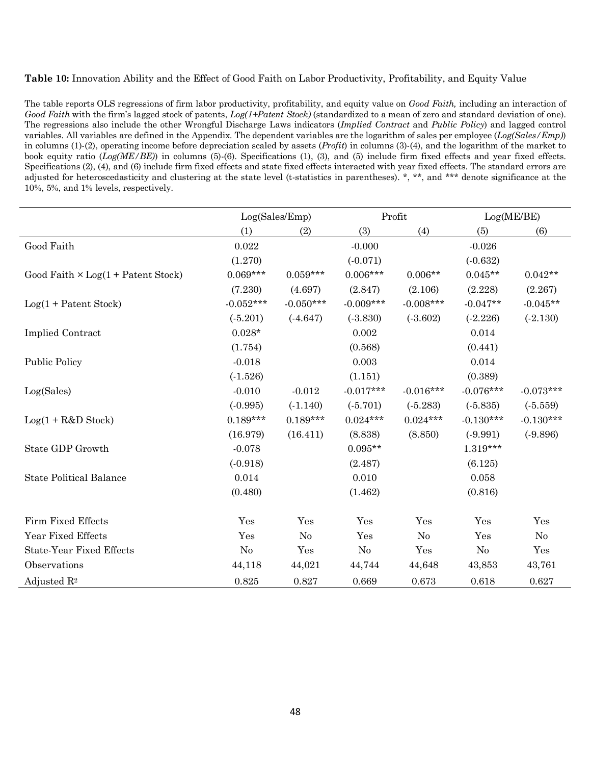# **Table 10:** Innovation Ability and the Effect of Good Faith on Labor Productivity, Profitability, and Equity Value

The table reports OLS regressions of firm labor productivity, profitability, and equity value on *Good Faith,* including an interaction of *Good Faith* with the firm's lagged stock of patents, *Log(1+Patent Stock)* (standardized to a mean of zero and standard deviation of one). The regressions also include the other Wrongful Discharge Laws indicators (*Implied Contract* and *Public Policy*) and lagged control variables. All variables are defined in the Appendix. The dependent variables are the logarithm of sales per employee (*Log(Sales/Emp)*) in columns (1)-(2), operating income before depreciation scaled by assets (*Profit*) in columns (3)-(4), and the logarithm of the market to book equity ratio (*Log(ME/BE)*) in columns (5)-(6). Specifications (1), (3), and (5) include firm fixed effects and year fixed effects. Specifications (2), (4), and (6) include firm fixed effects and state fixed effects interacted with year fixed effects. The standard errors are adjusted for heteroscedasticity and clustering at the state level (t-statistics in parentheses). \*, \*\*, and \*\*\* denote significance at the 10%, 5%, and 1% levels, respectively.

|                                           | Log(Sales/Emp) |                |             | Profit         | Log(ME/BE)  |             |
|-------------------------------------------|----------------|----------------|-------------|----------------|-------------|-------------|
|                                           | (1)            | (2)            | (3)         | (4)            | (5)         | (6)         |
| Good Faith                                | 0.022          |                | $-0.000$    |                | $-0.026$    |             |
|                                           | (1.270)        |                | $(-0.071)$  |                | $(-0.632)$  |             |
| Good Faith $\times$ Log(1 + Patent Stock) | $0.069***$     | $0.059***$     | $0.006***$  | $0.006**$      | $0.045**$   | $0.042**$   |
|                                           | (7.230)        | (4.697)        | (2.847)     | (2.106)        | (2.228)     | (2.267)     |
| $Log(1 + Patent Stock)$                   | $-0.052***$    | $-0.050***$    | $-0.009***$ | $-0.008***$    | $-0.047**$  | $-0.045**$  |
|                                           | $(-5.201)$     | $(-4.647)$     | (.3.830)    | (.3.602)       | $(-2.226)$  | $(-2.130)$  |
| <b>Implied Contract</b>                   | $0.028*$       |                | 0.002       |                | 0.014       |             |
|                                           | (1.754)        |                | (0.568)     |                | (0.441)     |             |
| <b>Public Policy</b>                      | $-0.018$       |                | 0.003       |                | 0.014       |             |
|                                           | $(-1.526)$     |                | (1.151)     |                | (0.389)     |             |
| Log(Sales)                                | $-0.010$       | $-0.012$       | $-0.017***$ | $-0.016***$    | $-0.076***$ | $-0.073***$ |
|                                           | $(-0.995)$     | $(-1.140)$     | $(-5.701)$  | $(-5.283)$     | $(-5.835)$  | $(-5.559)$  |
| $Log(1 + R&D Stock)$                      | $0.189***$     | $0.189***$     | $0.024***$  | $0.024***$     | $-0.130***$ | $-0.130***$ |
|                                           | (16.979)       | (16.411)       | (8.838)     | (8.850)        | $(-9.991)$  | $(-9.896)$  |
| State GDP Growth                          | $-0.078$       |                | $0.095**$   |                | $1.319***$  |             |
|                                           | (.0.918)       |                | (2.487)     |                | (6.125)     |             |
| <b>State Political Balance</b>            | 0.014          |                | 0.010       |                | 0.058       |             |
|                                           | (0.480)        |                | (1.462)     |                | (0.816)     |             |
| Firm Fixed Effects                        | Yes            | Yes            | Yes         | Yes            | Yes         | Yes         |
| Year Fixed Effects                        | Yes            | N <sub>0</sub> | Yes         | N <sub>o</sub> | Yes         | $\rm No$    |
| <b>State-Year Fixed Effects</b>           | N <sub>0</sub> | Yes            | No          | Yes            | No          | Yes         |
| Observations                              | 44,118         | 44,021         | 44,744      | 44,648         | 43,853      | 43,761      |
| Adjusted $\mathbb{R}^2$                   | 0.825          | 0.827          | 0.669       | 0.673          | 0.618       | 0.627       |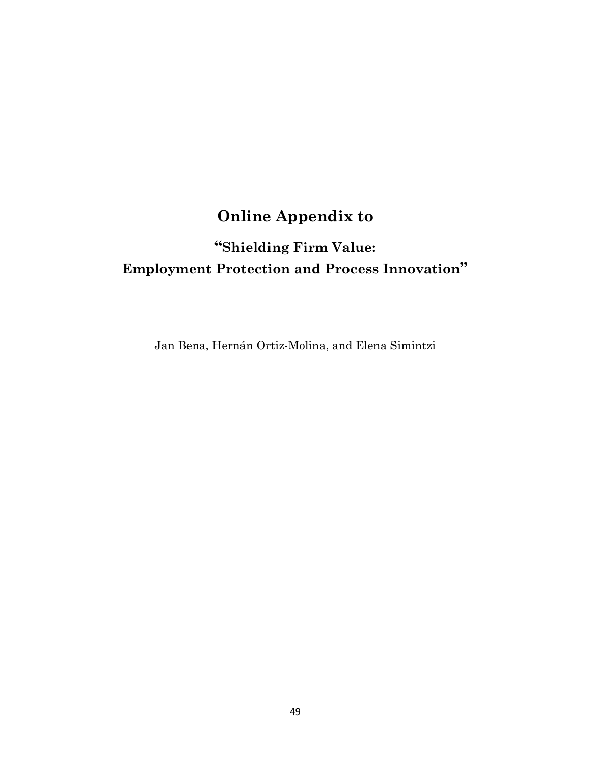# **Online Appendix to**

# **"Shielding Firm Value: Employment Protection and Process Innovation"**

Jan Bena, Hernán Ortiz-Molina, and Elena Simintzi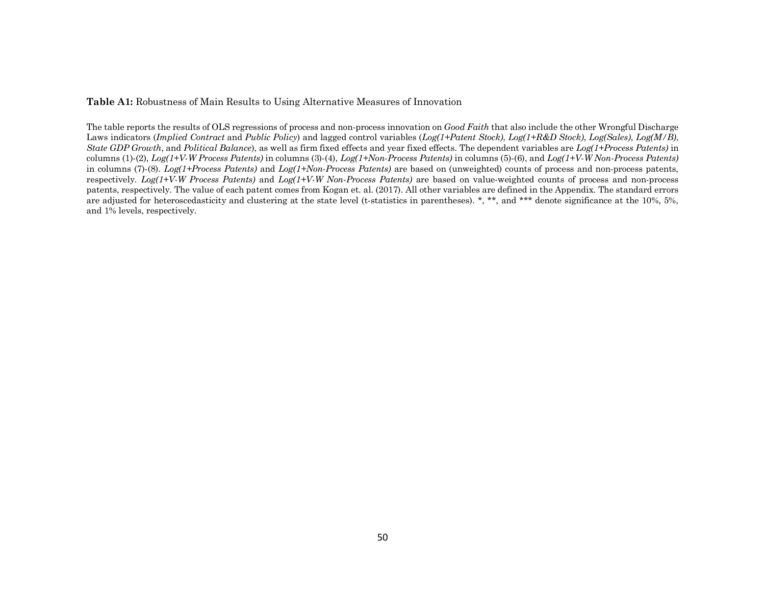**Table A1:** Robustness of Main Results to Using Alternative Measures of Innovation

The table reports the results of OLS regressions of process and non-process innovation on *Good Faith* that also include the other Wrongful Discharge Laws indicators (*Implied Contract* and *Public Policy*) and lagged control variables (*Log(1+Patent Stock)*, *Log(1+R&D Stock)*, *Log(Sales)*, *Log(M/B)*, *State GDP Growth*, and *Political Balance*), as well as firm fixed effects and year fixed effects. The dependent variables are *Log(1+Process Patents)* in columns (1)-(2), *Log(1+V-W Process Patents)* in columns (3)-(4), *Log(1+Non-Process Patents)* in columns (5)-(6), and *Log(1+V-W Non-Process Patents)* in columns (7)-(8). *Log(1+Process Patents)* and *Log(1+Non-Process Patents)* are based on (unweighted) counts of process and non-process patents, respectively. *Log(1+V-W Process Patents)* and *Log(1+V-W Non-Process Patents)* are based on value-weighted counts of process and non-process patents, respectively. The value of each patent comes from Kogan et. al. (2017). All other variables are defined in the Appendix. The standard errors are adjusted for heteroscedasticity and clustering at the state level (t-statistics in parentheses). \*, \*\*, and \*\*\* denote significance at the 10%, 5%, and 1% levels, respectively.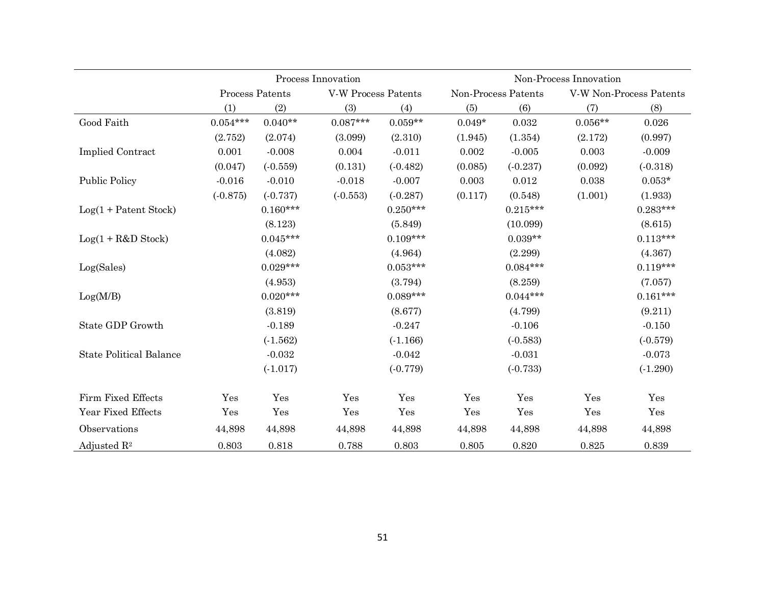|                                |            |                 | Process Innovation         |            | Non-Process Innovation |                     |           |                         |  |  |
|--------------------------------|------------|-----------------|----------------------------|------------|------------------------|---------------------|-----------|-------------------------|--|--|
|                                |            | Process Patents | <b>V-W Process Patents</b> |            |                        | Non-Process Patents |           | V-W Non-Process Patents |  |  |
|                                | (1)        | (2)             | (3)                        | (4)        | (5)                    | (6)                 | (7)       | (8)                     |  |  |
| Good Faith                     | $0.054***$ | $0.040**$       | $0.087***$                 | $0.059**$  | $0.049*$               | 0.032               | $0.056**$ | 0.026                   |  |  |
|                                | (2.752)    | (2.074)         | (3.099)                    | (2.310)    | (1.945)                | (1.354)             | (2.172)   | (0.997)                 |  |  |
| <b>Implied Contract</b>        | 0.001      | $-0.008$        | 0.004                      | $-0.011$   | 0.002                  | $-0.005$            | 0.003     | $-0.009$                |  |  |
|                                | (0.047)    | $(-0.559)$      | (0.131)                    | $(-0.482)$ | (0.085)                | $(-0.237)$          | (0.092)   | $(-0.318)$              |  |  |
| <b>Public Policy</b>           | $-0.016$   | $-0.010$        | $-0.018$                   | $-0.007$   | 0.003                  | 0.012               | 0.038     | $0.053*$                |  |  |
|                                | $(-0.875)$ | $(-0.737)$      | $(-0.553)$                 | $(-0.287)$ | (0.117)                | (0.548)             | (1.001)   | (1.933)                 |  |  |
| $Log(1 + Patent Stock)$        |            | $0.160***$      |                            | $0.250***$ |                        | $0.215***$          |           | $0.283***$              |  |  |
|                                |            | (8.123)         |                            | (5.849)    |                        | (10.099)            |           | (8.615)                 |  |  |
| $Log(1 + R&D Stock)$           |            | $0.045***$      |                            | $0.109***$ |                        | $0.039**$           |           | $0.113***$              |  |  |
|                                |            | (4.082)         |                            | (4.964)    |                        | (2.299)             |           | (4.367)                 |  |  |
| Log(Sales)                     |            | $0.029***$      |                            | $0.053***$ |                        | $0.084***$          |           | $0.119***$              |  |  |
|                                |            | (4.953)         |                            | (3.794)    |                        | (8.259)             |           | (7.057)                 |  |  |
| Log(M/B)                       |            | $0.020***$      |                            | $0.089***$ |                        | $0.044***$          |           | $0.161***$              |  |  |
|                                |            | (3.819)         |                            | (8.677)    |                        | (4.799)             |           | (9.211)                 |  |  |
| State GDP Growth               |            | $-0.189$        |                            | $-0.247$   |                        | $-0.106$            |           | $-0.150$                |  |  |
|                                |            | $(-1.562)$      |                            | (.1.166)   |                        | $(-0.583)$          |           | $(-0.579)$              |  |  |
| <b>State Political Balance</b> |            | $-0.032$        |                            | $-0.042$   |                        | $-0.031$            |           | $-0.073$                |  |  |
|                                |            | (.1.017)        |                            | $(-0.779)$ |                        | $(-0.733)$          |           | $(-1.290)$              |  |  |
| Firm Fixed Effects             | Yes        | Yes             | Yes                        | Yes        | Yes                    | Yes                 | Yes       | Yes                     |  |  |
| Year Fixed Effects             | Yes        | Yes             | Yes                        | Yes        | Yes                    | Yes                 | Yes       | Yes                     |  |  |
| Observations                   | 44,898     | 44,898          | 44,898                     | 44,898     | 44,898                 | 44,898              | 44,898    | 44,898                  |  |  |
| Adjusted $\mathbb{R}^2$        | 0.803      | 0.818           | 0.788                      | 0.803      | 0.805                  | 0.820               | 0.825     | 0.839                   |  |  |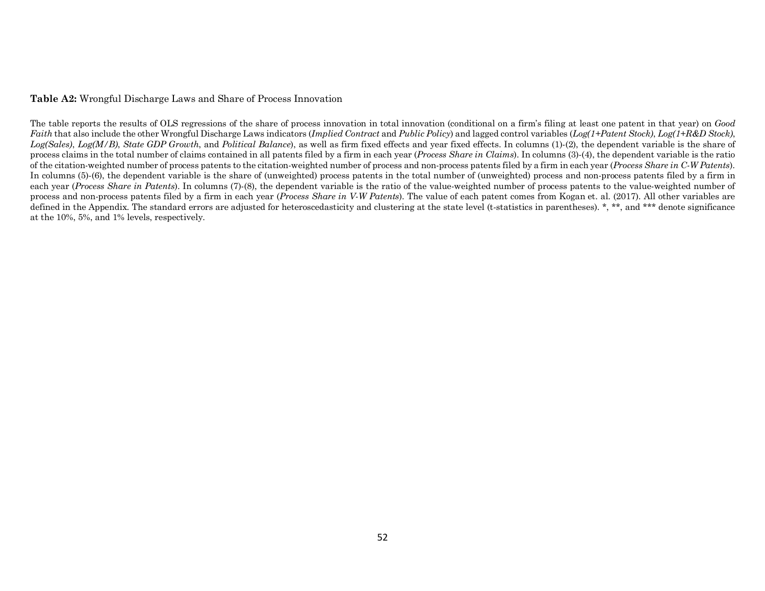### **Table A2:** Wrongful Discharge Laws and Share of Process Innovation

The table reports the results of OLS regressions of the share of process innovation in total innovation (conditional on a firm's filing at least one patent in that year) on *Good Faith* that also include the other Wrongful Discharge Laws indicators (*Implied Contract* and *Public Policy*) and lagged control variables (*Log(1+Patent Stock)*, *Log(1+R&D Stock)*, *Log(Sales)*, *Log(M/B)*, *State GDP Growth*, and *Political Balance*), as well as firm fixed effects and year fixed effects. In columns (1)-(2), the dependent variable is the share of process claims in the total number of claims contained in all patents filed by a firm in each year (*Process Share in Claims*). In columns (3)-(4), the dependent variable is the ratio of the citation-weighted number of process patents to the citation-weighted number of process and non-process patents filed by a firm in each year (*Process Share in C-W Patents*). In columns (5)-(6), the dependent variable is the share of (unweighted) process patents in the total number of (unweighted) process and non-process patents filed by a firm in each year (*Process Share in Patents*). In columns (7)-(8), the dependent variable is the ratio of the value-weighted number of process patents to the value-weighted number of process and non-process patents filed by a firm in each year (*Process Share in V-W Patents*). The value of each patent comes from Kogan et. al. (2017). All other variables are defined in the Appendix. The standard errors are adjusted for heteroscedasticity and clustering at the state level (t-statistics in parentheses). \*, \*\*, and \*\*\* denote significance at the 10%, 5%, and 1% levels, respectively.